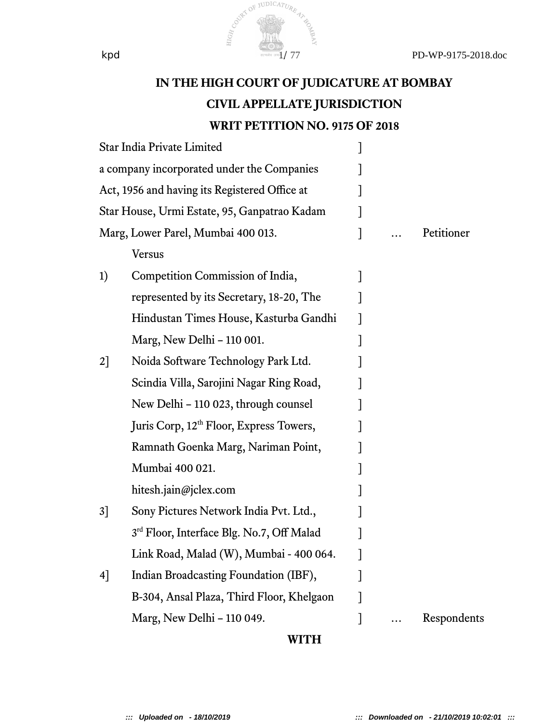

## **IN THE HIGH COURT OF JUDICATURE AT BOMBAY CIVIL APPELLATE JURISDICTION WRIT PETITION NO. 9175 OF 2018**

|                                               | Star India Private Limited                            |  |             |
|-----------------------------------------------|-------------------------------------------------------|--|-------------|
| a company incorporated under the Companies    |                                                       |  |             |
| Act, 1956 and having its Registered Office at |                                                       |  |             |
| Star House, Urmi Estate, 95, Ganpatrao Kadam  |                                                       |  |             |
| Marg, Lower Parel, Mumbai 400 013.            |                                                       |  | Petitioner  |
|                                               | <b>Versus</b>                                         |  |             |
| 1)                                            | Competition Commission of India,                      |  |             |
|                                               | represented by its Secretary, 18-20, The              |  |             |
|                                               | Hindustan Times House, Kasturba Gandhi                |  |             |
|                                               | Marg, New Delhi - 110 001.                            |  |             |
| 2                                             | Noida Software Technology Park Ltd.                   |  |             |
|                                               | Scindia Villa, Sarojini Nagar Ring Road,              |  |             |
|                                               | New Delhi - 110 023, through counsel                  |  |             |
|                                               | Juris Corp, 12 <sup>th</sup> Floor, Express Towers,   |  |             |
|                                               | Ramnath Goenka Marg, Nariman Point,                   |  |             |
|                                               | Mumbai 400 021.                                       |  |             |
|                                               | hitesh.jain@jclex.com                                 |  |             |
| 3]                                            | Sony Pictures Network India Pvt. Ltd.,                |  |             |
|                                               | 3 <sup>rd</sup> Floor, Interface Blg. No.7, Off Malad |  |             |
|                                               | Link Road, Malad (W), Mumbai - 400 064.               |  |             |
| 4]                                            | Indian Broadcasting Foundation (IBF),                 |  |             |
|                                               | B-304, Ansal Plaza, Third Floor, Khelgaon             |  |             |
|                                               | Marg, New Delhi - 110 049.                            |  | Respondents |

#### **WITH**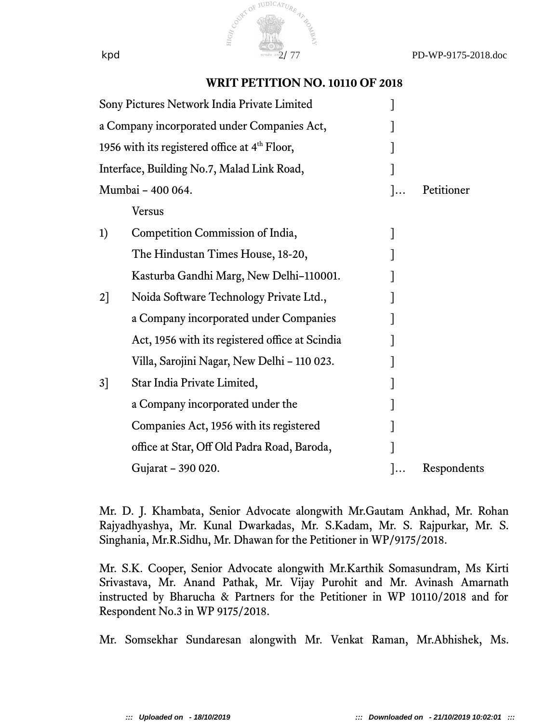

#### **WRIT PETITION NO. 10110 OF 2018**

| $\cdot$ | Petitioner  |
|---------|-------------|
|         |             |
|         |             |
|         |             |
|         |             |
|         |             |
|         |             |
|         |             |
|         |             |
|         |             |
|         |             |
|         |             |
|         |             |
|         | Respondents |
|         |             |

Mr. D. J. Khambata, Senior Advocate alongwith Mr.Gautam Ankhad, Mr. Rohan Rajyadhyashya, Mr. Kunal Dwarkadas, Mr. S.Kadam, Mr. S. Rajpurkar, Mr. S. Singhania, Mr.R.Sidhu, Mr. Dhawan for the Petitioner in WP/9175/2018.

Mr. S.K. Cooper, Senior Advocate alongwith Mr.Karthik Somasundram, Ms Kirti Srivastava, Mr. Anand Pathak, Mr. Vijay Purohit and Mr. Avinash Amarnath instructed by Bharucha & Partners for the Petitioner in WP 10110/2018 and for Respondent No.3 in WP 9175/2018.

Mr. Somsekhar Sundaresan alongwith Mr. Venkat Raman, Mr.Abhishek, Ms.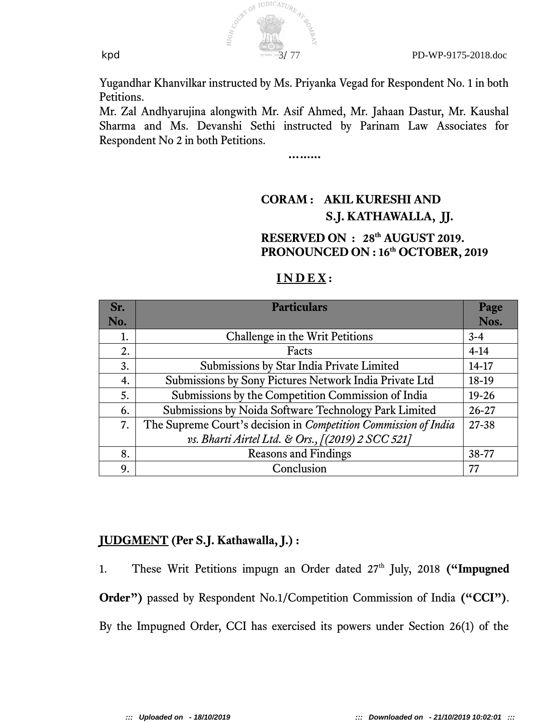

Yugandhar Khanvilkar instructed by Ms. Priyanka Vegad for Respondent No. 1 in both Petitions.

Mr. Zal Andhyarujina alongwith Mr. Asif Ahmed, Mr. Jahaan Dastur, Mr. Kaushal Sharma and Ms. Devanshi Sethi instructed by Parinam Law Associates for Respondent No 2 in both Petitions.

**…......**

## **CORAM : AKIL KURESHI AND S.J. KATHAWALLA, JJ.**

### **RESERVED ON : 28th AUGUST 2019. PRONOUNCED ON : 16th OCTOBER, 2019**

| Sr.<br>No. | <b>Particulars</b>                                              | Page<br>Nos. |
|------------|-----------------------------------------------------------------|--------------|
| 1.         | Challenge in the Writ Petitions                                 | $3 - 4$      |
| 2.         | Facts                                                           | $4-14$       |
| 3.         | Submissions by Star India Private Limited                       | $14-17$      |
| 4.         | Submissions by Sony Pictures Network India Private Ltd          | 18-19        |
| 5.         | Submissions by the Competition Commission of India              | $19 - 26$    |
| 6.         | Submissions by Noida Software Technology Park Limited           | $26 - 27$    |
| 7.         | The Supreme Court's decision in Competition Commission of India | 27-38        |
|            | vs. Bharti Airtel Ltd. & Ors., [(2019) 2 SCC 521]               |              |
| 8.         | <b>Reasons and Findings</b>                                     | 38-77        |
| 9.         | Conclusion                                                      | 77           |

#### **I N D E X :**

### **JUDGMENT (Per S.J. Kathawalla, J.) :**

1. These Writ Petitions impugn an Order dated 27<sup>th</sup> July, 2018 **("Impugned Order")** passed by Respondent No.1/Competition Commission of India **("CCI")**. By the Impugned Order, CCI has exercised its powers under Section 26(1) of the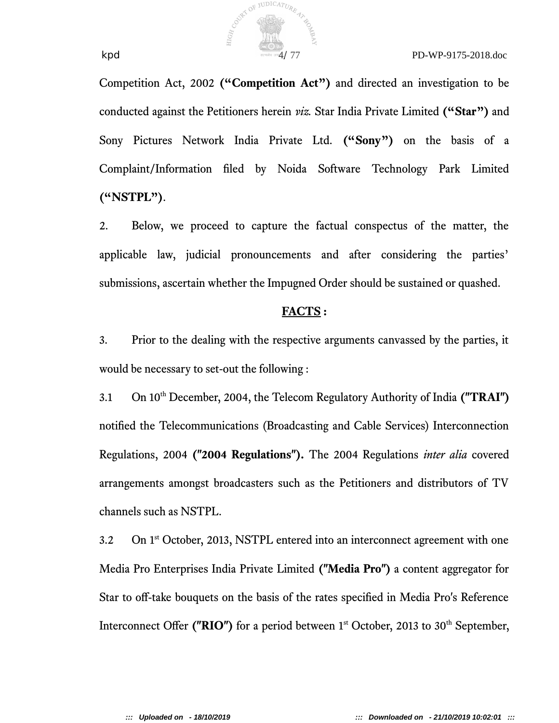Competition Act, 2002 **("Competition Act")** and directed an investigation to be conducted against the Petitioners herein *viz.* Star India Private Limited **("Star")** and Sony Pictures Network India Private Ltd. **("Sony")** on the basis of a Complaint/Information fled by Noida Software Technology Park Limited **("NSTPL")**.

2. Below, we proceed to capture the factual conspectus of the matter, the applicable law, judicial pronouncements and after considering the parties' submissions, ascertain whether the Impugned Order should be sustained or quashed.

#### **FACTS :**

3. Prior to the dealing with the respective arguments canvassed by the parties, it would be necessary to set-out the following :

3.1 On 10th December, 2004, the Telecom Regulatory Authority of India **("TRAI")** notifed the Telecommunications (Broadcasting and Cable Services) Interconnection Regulations, 2004 **("2004 Regulations").** The 2004 Regulations *inter alia* covered arrangements amongst broadcasters such as the Petitioners and distributors of TV channels such as NSTPL.

3.2 On 1<sup>st</sup> October, 2013, NSTPL entered into an interconnect agreement with one Media Pro Enterprises India Private Limited **("Media Pro")** a content aggregator for Star to off-take bouquets on the basis of the rates specified in Media Pro's Reference Interconnect Offer (" $RIO$ ") for a period between  $1<sup>st</sup>$  October, 2013 to 30<sup>th</sup> September,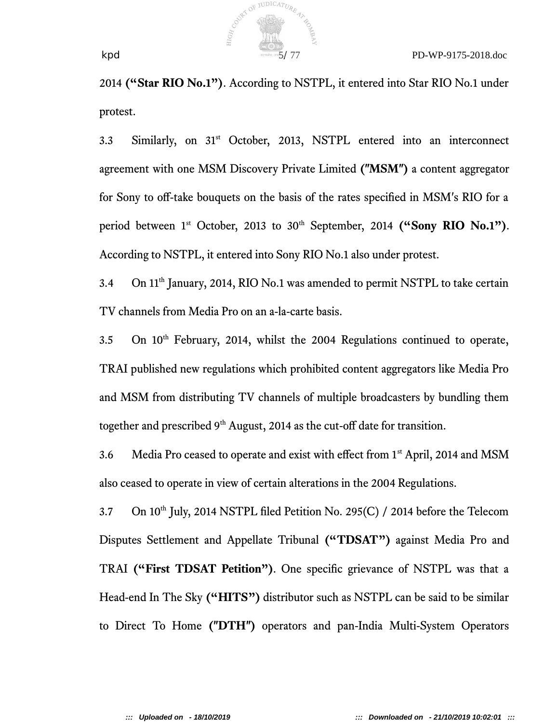

2014 **("Star RIO No.1")**. According to NSTPL, it entered into Star RIO No.1 under protest.

3.3 Similarly, on 31<sup>st</sup> October, 2013, NSTPL entered into an interconnect agreement with one MSM Discovery Private Limited **("MSM")** a content aggregator for Sony to off-take bouquets on the basis of the rates specified in MSM's RIO for a period between 1<sup>st</sup> October, 2013 to 30<sup>th</sup> September, 2014 ("Sony RIO No.1"). According to NSTPL, it entered into Sony RIO No.1 also under protest.

3.4 On 11<sup>th</sup> January, 2014, RIO No.1 was amended to permit NSTPL to take certain TV channels from Media Pro on an a-la-carte basis.

3.5 On 10<sup>th</sup> February, 2014, whilst the 2004 Regulations continued to operate, TRAI published new regulations which prohibited content aggregators like Media Pro and MSM from distributing TV channels of multiple broadcasters by bundling them together and prescribed  $9<sup>th</sup>$  August, 2014 as the cut-off date for transition.

3.6 Media Pro ceased to operate and exist with effect from 1<sup>st</sup> April, 2014 and MSM also ceased to operate in view of certain alterations in the 2004 Regulations.

3.7 On  $10^{th}$  July, 2014 NSTPL filed Petition No. 295(C) / 2014 before the Telecom Disputes Settlement and Appellate Tribunal **("TDSAT")** against Media Pro and TRAI **("First TDSAT Petition")**. One specifc grievance of NSTPL was that a Head-end In The Sky **("HITS")** distributor such as NSTPL can be said to be similar to Direct To Home **("DTH")** operators and pan-India Multi-System Operators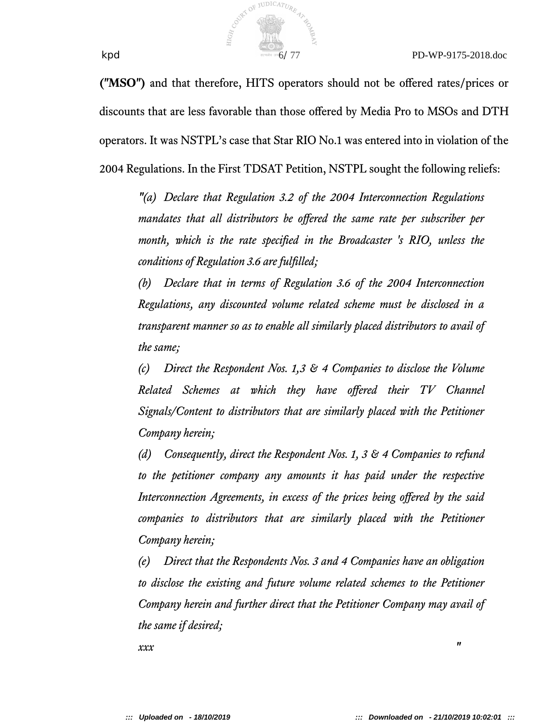

**("MSO")** and that therefore, HITS operators should not be ofered rates/prices or discounts that are less favorable than those ofered by Media Pro to MSOs and DTH operators. It was NSTPL's case that Star RIO No.1 was entered into in violation of the 2004 Regulations. In the First TDSAT Petition, NSTPL sought the following reliefs:

*"(a) Declare that Regulation 3.2 of the 2004 Interconnection Regulations mandates that all distributors be ofered the same rate per subscriber per month, which is the rate specifed in the Broadcaster 's RIO, unless the conditions of Regulation 3.6 are fulfilled*;

*(b) Declare that in terms of Regulation 3.6 of the 2004 Interconnection Regulations, any discounted volume related scheme must be disclosed in a transparent manner so as to enable all similarly placed distributors to avail of the same*;

*(c) Direct the Respondent Nos. 1,3 & 4 Companies to disclose the Volume Related Schemes at which they have ofered their TV Channel Signals/Content to distributors that are similarly placed with the Petitioner Company herein*;

*(d) Consequently, direct the Respondent Nos. 1, 3 & 4 Companies to refund to the petitioner company any amounts it has paid under the respective Interconnection Agreements, in excess of the prices being ofered by the said companies to distributors that are similarly placed with the Petitioner Company herein*;

*(e) Direct that the Respondents Nos. 3 and 4 Companies have an obligation to disclose the existing and future volume related schemes to the Petitioner Company herein and further direct that the Petitioner Company may avail of the same if desired;* 

*xxx "*  $\frac{1}{2}$  **"**  $\frac{1}{2}$  **"**  $\frac{1}{2}$  **"**  $\frac{1}{2}$  **"**  $\frac{1}{2}$  **"**  $\frac{1}{2}$  **"**  $\frac{1}{2}$  **"**  $\frac{1}{2}$  **"**  $\frac{1}{2}$  **"**  $\frac{1}{2}$  **"**  $\frac{1}{2}$  **"**  $\frac{1}{2}$  **"**  $\frac{1}{2}$  **"**  $\frac{1}{2}$  **"**  $\frac{1}{2}$  **"**  $\$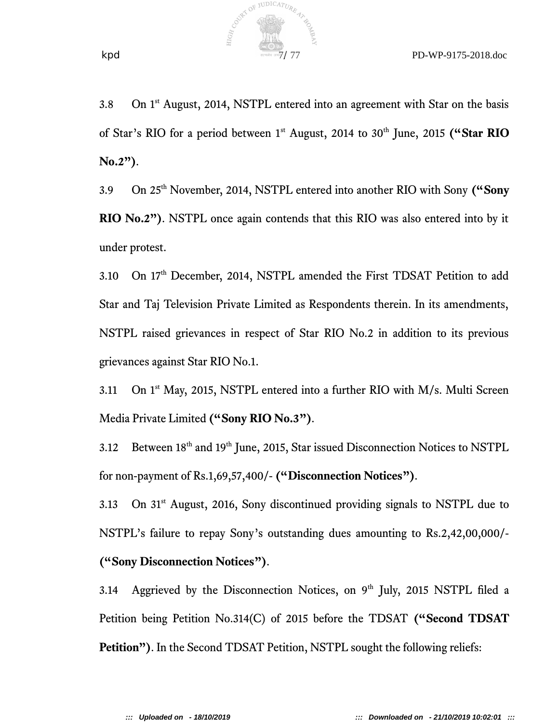

3.8 On  $1<sup>st</sup>$  August, 2014, NSTPL entered into an agreement with Star on the basis of Star's RIO for a period between 1st August, 2014 to 30th June, 2015 **("Star RIO No.2")**.

COUNTY OF JUDICATURE

3.9 On 25th November, 2014, NSTPL entered into another RIO with Sony **("Sony RIO No.2")**. NSTPL once again contends that this RIO was also entered into by it under protest.

3.10 On 17<sup>th</sup> December, 2014, NSTPL amended the First TDSAT Petition to add Star and Taj Television Private Limited as Respondents therein. In its amendments, NSTPL raised grievances in respect of Star RIO No.2 in addition to its previous grievances against Star RIO No.1.

3.11 On  $1<sup>st</sup>$  May, 2015, NSTPL entered into a further RIO with M/s. Multi Screen Media Private Limited **("Sony RIO No.3")**.

3.12 Between 18<sup>th</sup> and 19<sup>th</sup> June, 2015, Star issued Disconnection Notices to NSTPL for non-payment of Rs.1,69,57,400/- **("Disconnection Notices")**.

3.13 On 31<sup>st</sup> August, 2016, Sony discontinued providing signals to NSTPL due to NSTPL's failure to repay Sony's outstanding dues amounting to Rs.2,42,00,000/- **("Sony Disconnection Notices")**.

3.14 Aggrieved by the Disconnection Notices, on  $9<sup>th</sup>$  July, 2015 NSTPL filed a Petition being Petition No.314(C) of 2015 before the TDSAT **("Second TDSAT Petition")**. In the Second TDSAT Petition, NSTPL sought the following reliefs: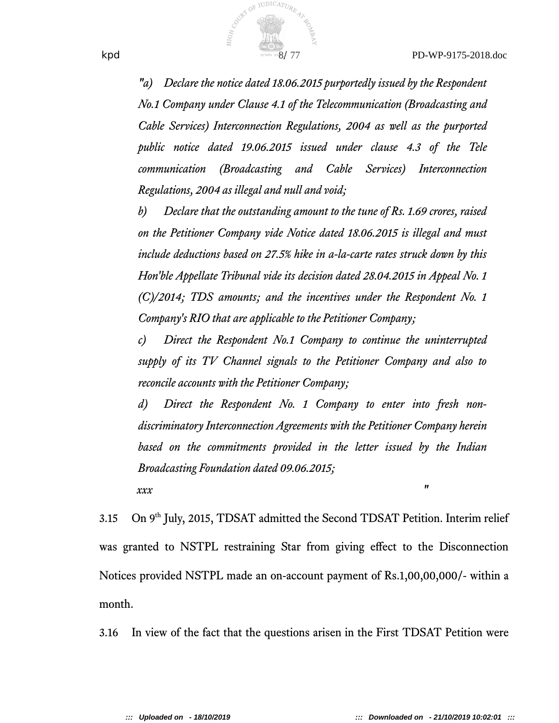

*"a) Declare the notice dated 18.06.2015 purportedly issued by the Respondent No.1 Company under Clause 4.1 of the Telecommunication (Broadcasting and Cable Services) Interconnection Regulations, 2004 as well as the purported public notice dated 19.06.2015 issued under clause 4.3 of the Tele communication (Broadcasting and Cable Services) Interconnection Regulations, 2004 as illegal and null and void;* 

*b) Declare that the outstanding amount to the tune of Rs. 1.69 crores, raised on the Petitioner Company vide Notice dated 18.06.2015 is illegal and must include deductions based on 27.5% hike in a-la-carte rates struck down by this Hon'ble Appellate Tribunal vide its decision dated 28.04.2015 in Appeal No. 1 (C)/2014; TDS amounts; and the incentives under the Respondent No. 1 Company's RIO that are applicable to the Petitioner Company*;

*c) Direct the Respondent No.1 Company to continue the uninterrupted supply of its TV Channel signals to the Petitioner Company and also to reconcile accounts with the Petitioner Company*;

*d) Direct the Respondent No. 1 Company to enter into fresh nondiscriminatory Interconnection Agreements with the Petitioner Company herein based on the commitments provided in the letter issued by the Indian Broadcasting Foundation dated 09.06.2015;* 

 *xxx "*

3.15 On 9<sup>th</sup> July, 2015, TDSAT admitted the Second TDSAT Petition. Interim relief was granted to NSTPL restraining Star from giving effect to the Disconnection Notices provided NSTPL made an on-account payment of Rs.1,00,00,000/- within a month.

3.16 In view of the fact that the questions arisen in the First TDSAT Petition were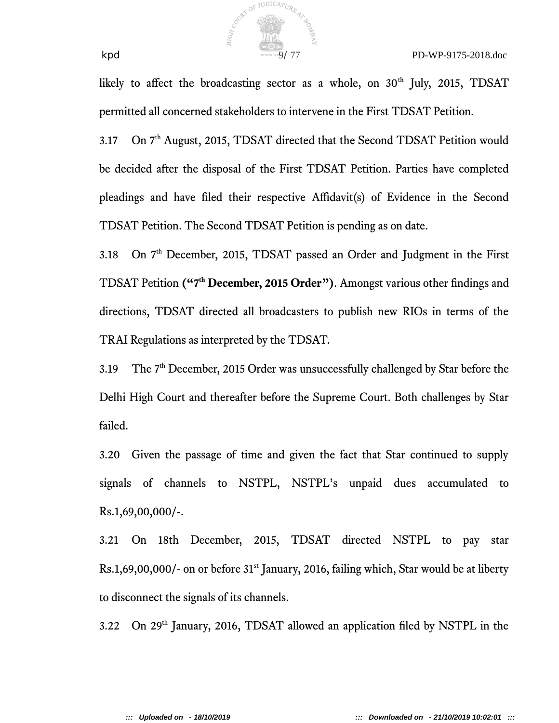

likely to affect the broadcasting sector as a whole, on  $30<sup>th</sup>$  July, 2015, TDSAT permitted all concerned stakeholders to intervene in the First TDSAT Petition.

3.17 On 7<sup>th</sup> August, 2015, TDSAT directed that the Second TDSAT Petition would be decided after the disposal of the First TDSAT Petition. Parties have completed pleadings and have fled their respective Afdavit(s) of Evidence in the Second TDSAT Petition. The Second TDSAT Petition is pending as on date.

3.18 On  $7<sup>th</sup>$  December, 2015, TDSAT passed an Order and Judgment in the First TDSAT Petition **("7th December, 2015 Order")**. Amongst various other fndings and directions, TDSAT directed all broadcasters to publish new RIOs in terms of the TRAI Regulations as interpreted by the TDSAT.

3.19 The 7<sup>th</sup> December, 2015 Order was unsuccessfully challenged by Star before the Delhi High Court and thereafter before the Supreme Court. Both challenges by Star failed.

3.20 Given the passage of time and given the fact that Star continued to supply signals of channels to NSTPL, NSTPL's unpaid dues accumulated to Rs.1,69,00,000/-.

3.21 On 18th December, 2015, TDSAT directed NSTPL to pay star  $Rs.1,69,00,000/$ - on or before 31<sup>st</sup> January, 2016, failing which, Star would be at liberty to disconnect the signals of its channels.

3.22 On 29th January, 2016, TDSAT allowed an application fled by NSTPL in the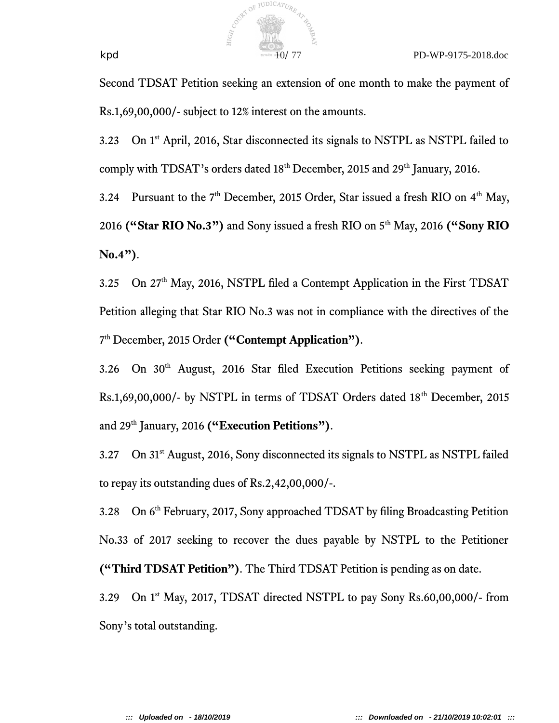

Second TDSAT Petition seeking an extension of one month to make the payment of Rs.1,69,00,000/- subject to 12% interest on the amounts.

3.23 On 1st April, 2016, Star disconnected its signals to NSTPL as NSTPL failed to comply with TDSAT's orders dated 18<sup>th</sup> December, 2015 and 29<sup>th</sup> January, 2016.

3.24 Pursuant to the  $7<sup>th</sup>$  December, 2015 Order, Star issued a fresh RIO on  $4<sup>th</sup>$  May, 2016 **("Star RIO No.3")** and Sony issued a fresh RIO on 5th May, 2016 **("Sony RIO No.4")**.

3.25 On 27<sup>th</sup> May, 2016, NSTPL filed a Contempt Application in the First TDSAT Petition alleging that Star RIO No.3 was not in compliance with the directives of the 7 th December, 2015 Order **("Contempt Application")**.

3.26 On 30<sup>th</sup> August, 2016 Star filed Execution Petitions seeking payment of Rs.1,69,00,000/- by NSTPL in terms of TDSAT Orders dated 18<sup>th</sup> December, 2015 and 29th January, 2016 **("Execution Petitions")**.

3.27 On 31st August, 2016, Sony disconnected its signals to NSTPL as NSTPL failed to repay its outstanding dues of Rs.2,42,00,000/-.

3.28 On 6th February, 2017, Sony approached TDSAT by fling Broadcasting Petition No.33 of 2017 seeking to recover the dues payable by NSTPL to the Petitioner **("Third TDSAT Petition")**. The Third TDSAT Petition is pending as on date.

3.29 On 1<sup>st</sup> May, 2017, TDSAT directed NSTPL to pay Sony Rs.60,00,000/- from Sony's total outstanding.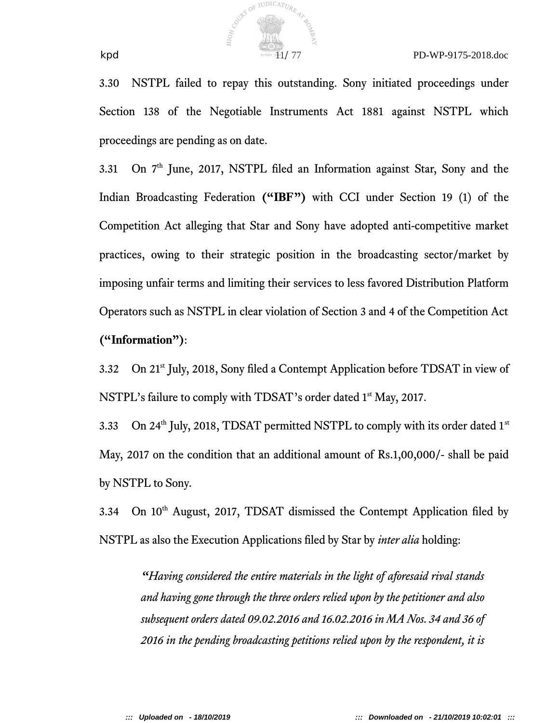

3.30 NSTPL failed to repay this outstanding. Sony initiated proceedings under Section 138 of the Negotiable Instruments Act 1881 against NSTPL which proceedings are pending as on date.

3.31 On 7th June, 2017, NSTPL fled an Information against Star, Sony and the Indian Broadcasting Federation **("IBF")** with CCI under Section 19 (1) of the Competition Act alleging that Star and Sony have adopted anti-competitive market practices, owing to their strategic position in the broadcasting sector/market by imposing unfair terms and limiting their services to less favored Distribution Platform Operators such as NSTPL in clear violation of Section 3 and 4 of the Competition Act **("Information")**:

3.32 On 21st July, 2018, Sony fled a Contempt Application before TDSAT in view of NSTPL's failure to comply with TDSAT's order dated 1<sup>st</sup> May, 2017.

3.33 On 24<sup>th</sup> July, 2018, TDSAT permitted NSTPL to comply with its order dated  $1<sup>st</sup>$ May, 2017 on the condition that an additional amount of Rs.1,00,000/- shall be paid by NSTPL to Sony.

3.34 On 10<sup>th</sup> August, 2017, TDSAT dismissed the Contempt Application filed by NSTPL as also the Execution Applications fled by Star by *inter alia* holding:

*"Having considered the entire materials in the light of aforesaid rival stands and having gone through the three orders relied upon by the petitioner and also subsequent orders dated 09.02.2016 and 16.02.2016 in MA Nos. 34 and 36 of 2016 in the pending broadcasting petitions relied upon by the respondent, it is*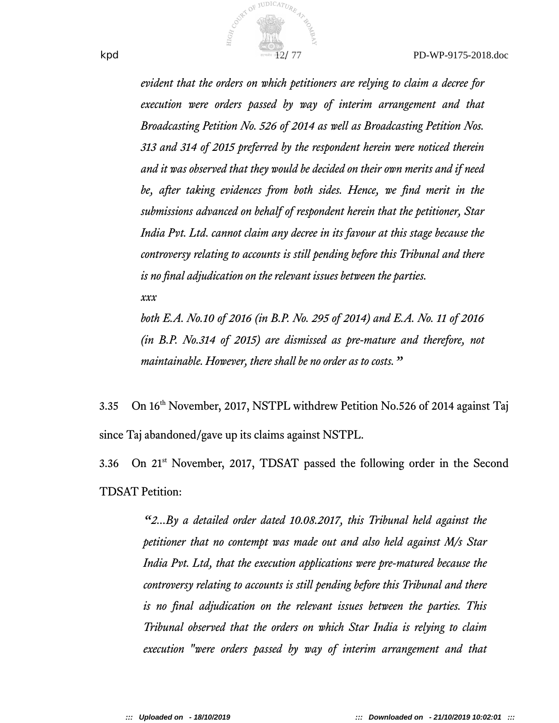

*evident that the orders on which petitioners are relying to claim a decree for execution were orders passed by way of interim arrangement and that Broadcasting Petition No. 526 of 2014 as well as Broadcasting Petition Nos. 313 and 314 of 2015 preferred by the respondent herein were noticed therein and it was observed that they would be decided on their own merits and if need be, after taking evidences from both sides. Hence, we fnd merit in the submissions advanced on behalf of respondent herein that the petitioner, Star India Pvt. Ltd. cannot claim any decree in its favour at this stage because the controversy relating to accounts is still pending before this Tribunal and there is no fnal adjudication on the relevant issues between the parties.*

*xxx*

*both E.A. No.10 of 2016 (in B.P. No. 295 of 2014) and E.A. No. 11 of 2016 (in B.P. No.314 of 2015) are dismissed as pre-mature and therefore, not maintainable. However, there shall be no order as to costs."*

3.35 On 16th November, 2017, NSTPL withdrew Petition No.526 of 2014 against Taj since Taj abandoned/gave up its claims against NSTPL.

3.36 On 21st November, 2017, TDSAT passed the following order in the Second TDSAT Petition:

> *"2...By a detailed order dated 10.08.2017, this Tribunal held against the petitioner that no contempt was made out and also held against M/s Star India Pvt. Ltd, that the execution applications were pre-matured because the controversy relating to accounts is still pending before this Tribunal and there is no fnal adjudication on the relevant issues between the parties. This Tribunal observed that the orders on which Star India is relying to claim execution "were orders passed by way of interim arrangement and that*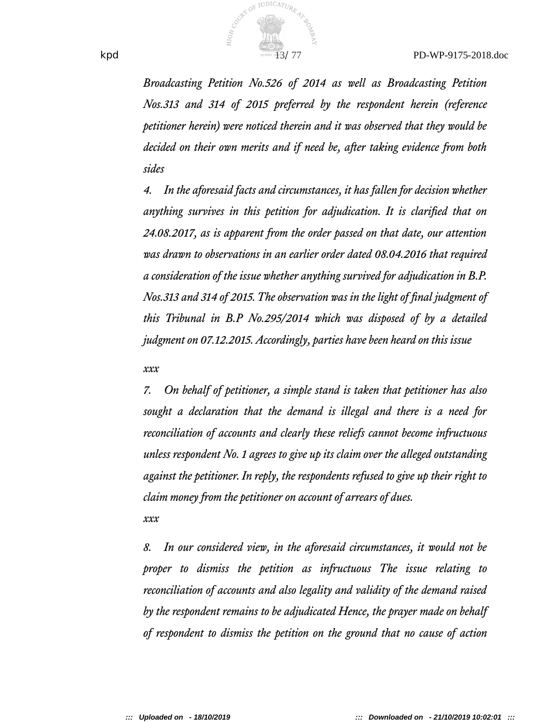

*Broadcasting Petition No.526 of 2014 as well as Broadcasting Petition Nos.313 and 314 of 2015 preferred by the respondent herein (reference petitioner herein) were noticed therein and it was observed that they would be decided on their own merits and if need be, after taking evidence from both sides* 

*4. In the aforesaid facts and circumstances, it has fallen for decision whether anything survives in this petition for adjudication. It is clarifed that on 24.08.2017, as is apparent from the order passed on that date, our attention was drawn to observations in an earlier order dated 08.04.2016 that required a consideration of the issue whether anything survived for adjudication in B.P. Nos.313 and 314 of 2015. The observation was in the light of fnal judgment of this Tribunal in B.P No.295/2014 which was disposed of by a detailed judgment on 07.12.2015. Accordingly, parties have been heard on this issue* 

*xxx*

*7. On behalf of petitioner, a simple stand is taken that petitioner has also sought a declaration that the demand is illegal and there is a need for reconciliation of accounts and clearly these reliefs cannot become infructuous unless respondent No. 1 agrees to give up its claim over the alleged outstanding against the petitioner. In reply, the respondents refused to give up their right to claim money from the petitioner on account of arrears of dues. xxx*

*8. In our considered view, in the aforesaid circumstances, it would not be proper to dismiss the petition as infructuous The issue relating to reconciliation of accounts and also legality and validity of the demand raised by the respondent remains to be adjudicated Hence, the prayer made on behalf of respondent to dismiss the petition on the ground that no cause of action*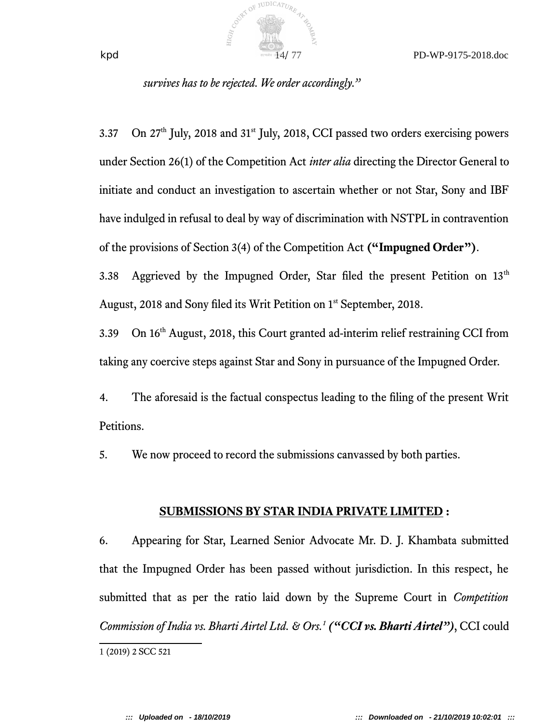#### *survives has to be rejected. We order accordingly."*

COUNTY OF JUDICATURE

3.37 On  $27<sup>th</sup>$  July, 2018 and  $31<sup>st</sup>$  July, 2018, CCI passed two orders exercising powers under Section 26(1) of the Competition Act *inter alia* directing the Director General to initiate and conduct an investigation to ascertain whether or not Star, Sony and IBF have indulged in refusal to deal by way of discrimination with NSTPL in contravention of the provisions of Section 3(4) of the Competition Act **("Impugned Order")**.

3.38 Aggrieved by the Impugned Order, Star filed the present Petition on  $13<sup>th</sup>$ August, 2018 and Sony filed its Writ Petition on 1st September, 2018.

3.39 On 16th August, 2018, this Court granted ad-interim relief restraining CCI from taking any coercive steps against Star and Sony in pursuance of the Impugned Order.

4. The aforesaid is the factual conspectus leading to the fling of the present Writ Petitions.

5. We now proceed to record the submissions canvassed by both parties.

#### **SUBMISSIONS BY STAR INDIA PRIVATE LIMITED :**

6. Appearing for Star, Learned Senior Advocate Mr. D. J. Khambata submitted that the Impugned Order has been passed without jurisdiction. In this respect, he submitted that as per the ratio laid down by the Supreme Court in *Competition Commission of India vs. Bharti Airtel Ltd. & Ors.<sup>1</sup> ("CCI vs. Bharti Airtel")*, CCI could

<sup>1</sup> (2019) 2 SCC 521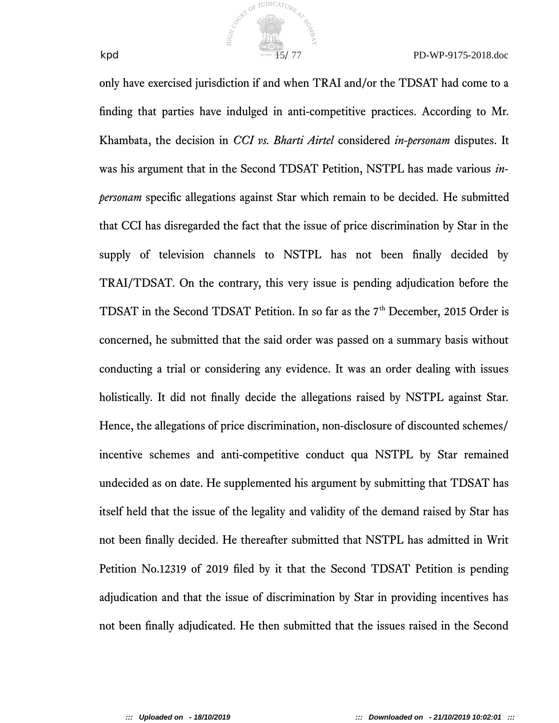

only have exercised jurisdiction if and when TRAI and/or the TDSAT had come to a fnding that parties have indulged in anti-competitive practices. According to Mr. Khambata, the decision in *CCI vs. Bharti Airtel* considered *in-personam* disputes. It was his argument that in the Second TDSAT Petition, NSTPL has made various *inpersonam* specifc allegations against Star which remain to be decided. He submitted that CCI has disregarded the fact that the issue of price discrimination by Star in the supply of television channels to NSTPL has not been fnally decided by TRAI/TDSAT. On the contrary, this very issue is pending adjudication before the TDSAT in the Second TDSAT Petition. In so far as the  $7<sup>th</sup>$  December, 2015 Order is concerned, he submitted that the said order was passed on a summary basis without conducting a trial or considering any evidence. It was an order dealing with issues holistically. It did not fnally decide the allegations raised by NSTPL against Star. Hence, the allegations of price discrimination, non-disclosure of discounted schemes/ incentive schemes and anti-competitive conduct qua NSTPL by Star remained undecided as on date. He supplemented his argument by submitting that TDSAT has itself held that the issue of the legality and validity of the demand raised by Star has not been fnally decided. He thereafter submitted that NSTPL has admitted in Writ Petition No.12319 of 2019 fled by it that the Second TDSAT Petition is pending adjudication and that the issue of discrimination by Star in providing incentives has not been fnally adjudicated. He then submitted that the issues raised in the Second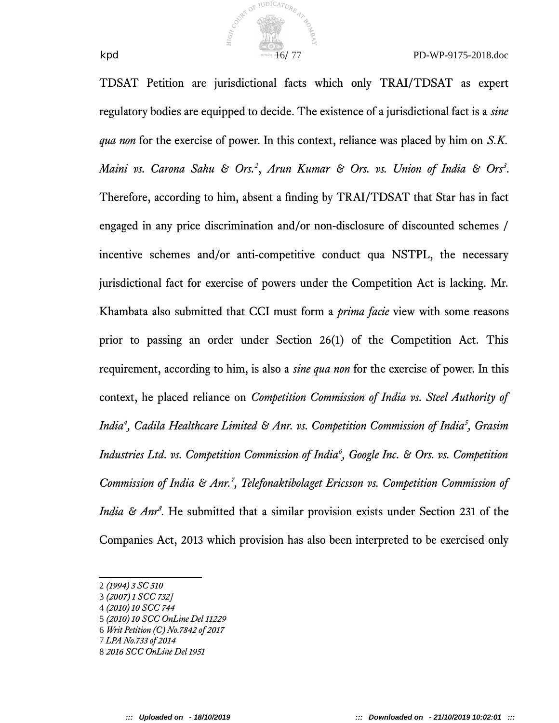

TDSAT Petition are jurisdictional facts which only TRAI/TDSAT as expert regulatory bodies are equipped to decide. The existence of a jurisdictional fact is a *sine qua non* for the exercise of power. In this context, reliance was placed by him on *S.K. Maini vs. Carona Sahu & Ors.<sup>2</sup>* , *Arun Kumar & Ors. vs. Union of India & Ors<sup>3</sup>* . Therefore, according to him, absent a fnding by TRAI/TDSAT that Star has in fact engaged in any price discrimination and/or non-disclosure of discounted schemes / incentive schemes and/or anti-competitive conduct qua NSTPL, the necessary jurisdictional fact for exercise of powers under the Competition Act is lacking. Mr. Khambata also submitted that CCI must form a *prima facie* view with some reasons prior to passing an order under Section 26(1) of the Competition Act. This requirement, according to him, is also a *sine qua non* for the exercise of power. In this context, he placed reliance on *Competition Commission of India vs. Steel Authority of India<sup>4</sup> , Cadila Healthcare Limited & Anr. vs. Competition Commission of India<sup>5</sup> , Grasim Industries Ltd. vs. Competition Commission of India<sup>6</sup> , Google Inc. & Ors. vs. Competition Commission of India & Anr.<sup>7</sup> , Telefonaktibolaget Ericsson vs. Competition Commission of India & Anr<sup>8</sup>*. He submitted that a similar provision exists under Section 231 of the Companies Act, 2013 which provision has also been interpreted to be exercised only

<sup>2</sup> *(1994) 3 SC 510*

<sup>3</sup> *(2007) 1 SCC 732]*

<sup>4</sup> *(2010) 10 SCC 744*

<sup>5</sup> *(2010) 10 SCC OnLine Del 11229*

<sup>6</sup> *Writ Petition (C) No.7842 of 2017*

<sup>7</sup> *LPA No.733 of 2014*

<sup>8</sup> *2016 SCC OnLine Del 1951*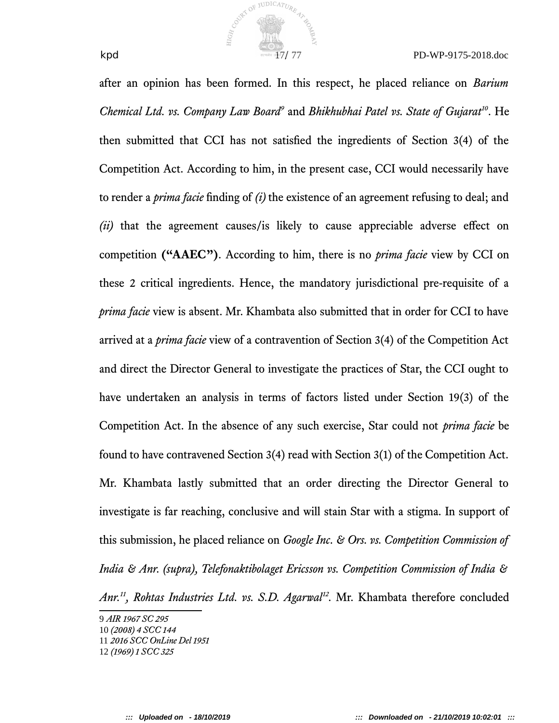

after an opinion has been formed. In this respect, he placed reliance on *Barium Chemical Ltd. vs. Company Law Board<sup>9</sup>* and *Bhikhubhai Patel vs. State of Gujarat<sup>10</sup>*. He then submitted that CCI has not satisfed the ingredients of Section 3(4) of the Competition Act. According to him, in the present case, CCI would necessarily have to render a *prima facie* fnding of *(i)* the existence of an agreement refusing to deal; and *(ii)* that the agreement causes/is likely to cause appreciable adverse efect on competition **("AAEC")**. According to him, there is no *prima facie* view by CCI on these 2 critical ingredients. Hence, the mandatory jurisdictional pre-requisite of a *prima facie* view is absent. Mr. Khambata also submitted that in order for CCI to have arrived at a *prima facie* view of a contravention of Section 3(4) of the Competition Act and direct the Director General to investigate the practices of Star, the CCI ought to have undertaken an analysis in terms of factors listed under Section 19(3) of the Competition Act. In the absence of any such exercise, Star could not *prima facie* be found to have contravened Section 3(4) read with Section 3(1) of the Competition Act. Mr. Khambata lastly submitted that an order directing the Director General to investigate is far reaching, conclusive and will stain Star with a stigma. In support of this submission, he placed reliance on *Google Inc. & Ors. vs. Competition Commission of India & Anr. (supra), Telefonaktibolaget Ericsson vs. Competition Commission of India & Anr.<sup>11</sup>, Rohtas Industries Ltd. vs. S.D. Agarwal<sup>12</sup> .* Mr. Khambata therefore concluded

<sup>9</sup> *AIR 1967 SC 295*

<sup>10</sup> *(2008) 4 SCC 144*

<sup>11</sup> *2016 SCC OnLine Del 1951*

<sup>12</sup> *(1969) 1 SCC 325*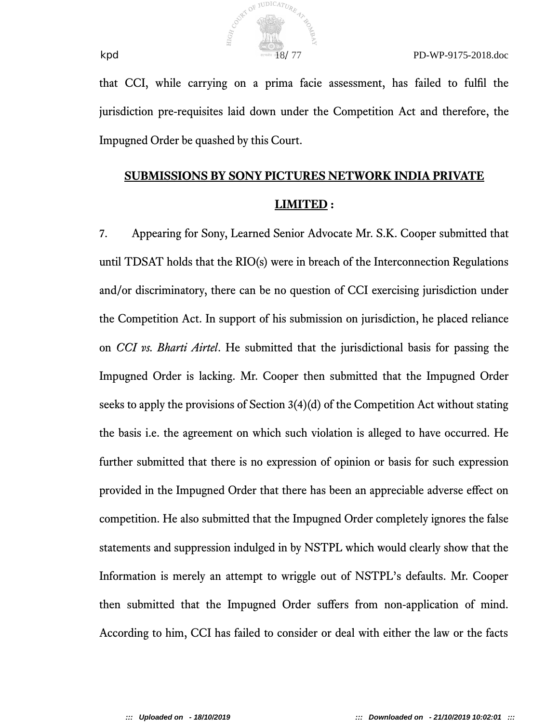

that CCI, while carrying on a prima facie assessment, has failed to fulfl the jurisdiction pre-requisites laid down under the Competition Act and therefore, the Impugned Order be quashed by this Court.

# **SUBMISSIONS BY SONY PICTURES NETWORK INDIA PRIVATE LIMITED :**

7. Appearing for Sony, Learned Senior Advocate Mr. S.K. Cooper submitted that until TDSAT holds that the RIO(s) were in breach of the Interconnection Regulations and/or discriminatory, there can be no question of CCI exercising jurisdiction under the Competition Act. In support of his submission on jurisdiction, he placed reliance on *CCI vs. Bharti Airtel*. He submitted that the jurisdictional basis for passing the Impugned Order is lacking. Mr. Cooper then submitted that the Impugned Order seeks to apply the provisions of Section 3(4)(d) of the Competition Act without stating the basis i.e. the agreement on which such violation is alleged to have occurred. He further submitted that there is no expression of opinion or basis for such expression provided in the Impugned Order that there has been an appreciable adverse efect on competition. He also submitted that the Impugned Order completely ignores the false statements and suppression indulged in by NSTPL which would clearly show that the Information is merely an attempt to wriggle out of NSTPL's defaults. Mr. Cooper then submitted that the Impugned Order sufers from non-application of mind. According to him, CCI has failed to consider or deal with either the law or the facts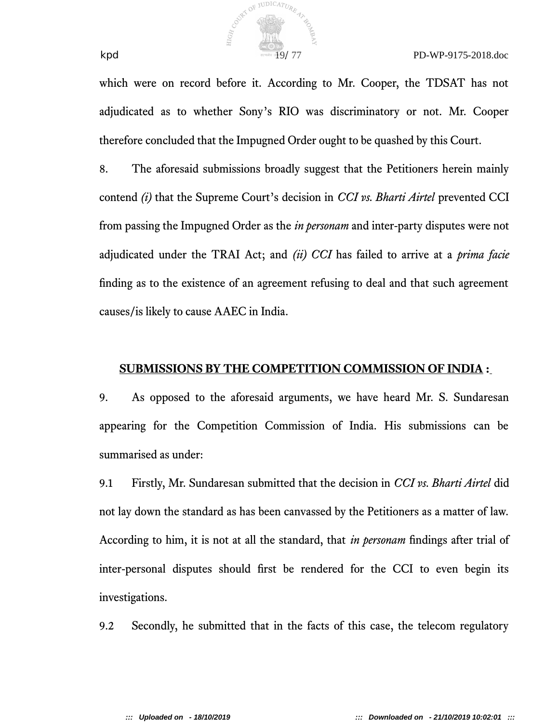

which were on record before it. According to Mr. Cooper, the TDSAT has not adjudicated as to whether Sony's RIO was discriminatory or not. Mr. Cooper therefore concluded that the Impugned Order ought to be quashed by this Court.

8. The aforesaid submissions broadly suggest that the Petitioners herein mainly contend *(i)* that the Supreme Court's decision in *CCI vs. Bharti Airtel* prevented CCI from passing the Impugned Order as the *in personam* and inter-party disputes were not adjudicated under the TRAI Act; and *(ii) CCI* has failed to arrive at a *prima facie* fnding as to the existence of an agreement refusing to deal and that such agreement causes/is likely to cause AAEC in India.

### **SUBMISSIONS BY THE COMPETITION COMMISSION OF INDIA :**

9. As opposed to the aforesaid arguments, we have heard Mr. S. Sundaresan appearing for the Competition Commission of India. His submissions can be summarised as under:

9.1 Firstly, Mr. Sundaresan submitted that the decision in *CCI vs. Bharti Airtel* did not lay down the standard as has been canvassed by the Petitioners as a matter of law. According to him, it is not at all the standard, that *in personam* fndings after trial of inter-personal disputes should frst be rendered for the CCI to even begin its investigations.

9.2 Secondly, he submitted that in the facts of this case, the telecom regulatory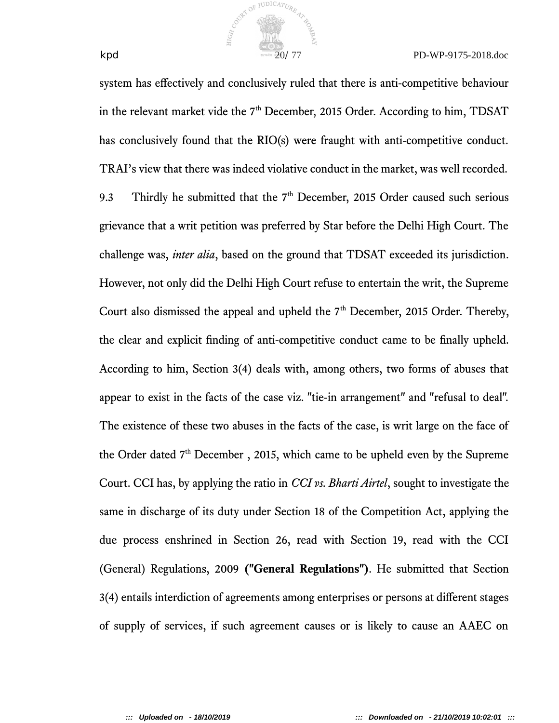

system has efectively and conclusively ruled that there is anti-competitive behaviour in the relevant market vide the 7<sup>th</sup> December, 2015 Order. According to him, TDSAT has conclusively found that the RIO(s) were fraught with anti-competitive conduct. TRAI's view that there was indeed violative conduct in the market, was well recorded. 9.3 Thirdly he submitted that the  $7<sup>th</sup>$  December, 2015 Order caused such serious grievance that a writ petition was preferred by Star before the Delhi High Court. The challenge was, *inter alia*, based on the ground that TDSAT exceeded its jurisdiction. However, not only did the Delhi High Court refuse to entertain the writ, the Supreme Court also dismissed the appeal and upheld the  $7<sup>th</sup>$  December, 2015 Order. Thereby, the clear and explicit fnding of anti-competitive conduct came to be fnally upheld. According to him, Section 3(4) deals with, among others, two forms of abuses that appear to exist in the facts of the case viz. "tie-in arrangement" and "refusal to deal". The existence of these two abuses in the facts of the case, is writ large on the face of the Order dated  $7<sup>th</sup>$  December, 2015, which came to be upheld even by the Supreme Court. CCI has, by applying the ratio in *CCI vs. Bharti Airtel*, sought to investigate the same in discharge of its duty under Section 18 of the Competition Act, applying the due process enshrined in Section 26, read with Section 19, read with the CCI (General) Regulations, 2009 **("General Regulations")**. He submitted that Section 3(4) entails interdiction of agreements among enterprises or persons at diferent stages of supply of services, if such agreement causes or is likely to cause an AAEC on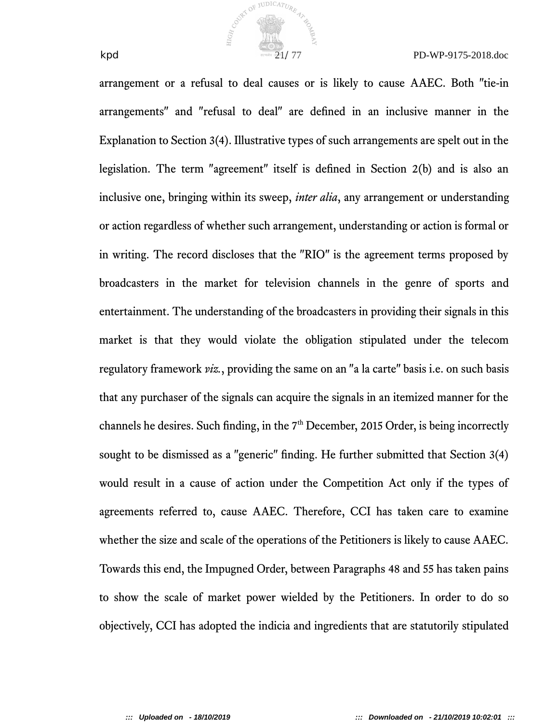

arrangement or a refusal to deal causes or is likely to cause AAEC. Both "tie-in arrangements" and "refusal to deal" are defned in an inclusive manner in the Explanation to Section 3(4). Illustrative types of such arrangements are spelt out in the legislation. The term "agreement" itself is defned in Section 2(b) and is also an inclusive one, bringing within its sweep, *inter alia*, any arrangement or understanding or action regardless of whether such arrangement, understanding or action is formal or in writing. The record discloses that the "RIO" is the agreement terms proposed by broadcasters in the market for television channels in the genre of sports and entertainment. The understanding of the broadcasters in providing their signals in this market is that they would violate the obligation stipulated under the telecom regulatory framework *viz.*, providing the same on an "a la carte" basis i.e. on such basis that any purchaser of the signals can acquire the signals in an itemized manner for the channels he desires. Such finding, in the  $7<sup>th</sup>$  December, 2015 Order, is being incorrectly sought to be dismissed as a "generic" fnding. He further submitted that Section 3(4) would result in a cause of action under the Competition Act only if the types of agreements referred to, cause AAEC. Therefore, CCI has taken care to examine whether the size and scale of the operations of the Petitioners is likely to cause AAEC. Towards this end, the Impugned Order, between Paragraphs 48 and 55 has taken pains to show the scale of market power wielded by the Petitioners. In order to do so objectively, CCI has adopted the indicia and ingredients that are statutorily stipulated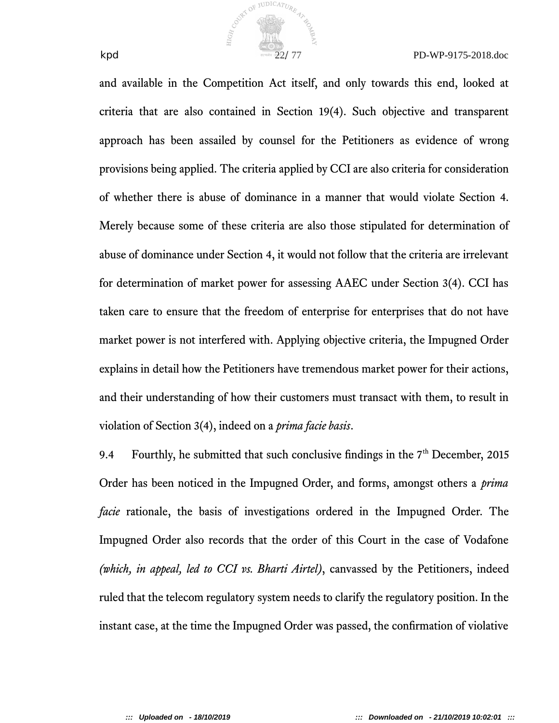

and available in the Competition Act itself, and only towards this end, looked at criteria that are also contained in Section 19(4). Such objective and transparent approach has been assailed by counsel for the Petitioners as evidence of wrong provisions being applied. The criteria applied by CCI are also criteria for consideration of whether there is abuse of dominance in a manner that would violate Section 4. Merely because some of these criteria are also those stipulated for determination of abuse of dominance under Section 4, it would not follow that the criteria are irrelevant for determination of market power for assessing AAEC under Section 3(4). CCI has taken care to ensure that the freedom of enterprise for enterprises that do not have market power is not interfered with. Applying objective criteria, the Impugned Order explains in detail how the Petitioners have tremendous market power for their actions, and their understanding of how their customers must transact with them, to result in violation of Section 3(4), indeed on a *prima facie basis*.

COUNTY OF JUDICATURE

9.4 Fourthly, he submitted that such conclusive findings in the  $7<sup>th</sup>$  December, 2015 Order has been noticed in the Impugned Order, and forms, amongst others a *prima facie* rationale, the basis of investigations ordered in the Impugned Order. The Impugned Order also records that the order of this Court in the case of Vodafone *(which, in appeal, led to CCI vs. Bharti Airtel)*, canvassed by the Petitioners, indeed ruled that the telecom regulatory system needs to clarify the regulatory position. In the instant case, at the time the Impugned Order was passed, the confrmation of violative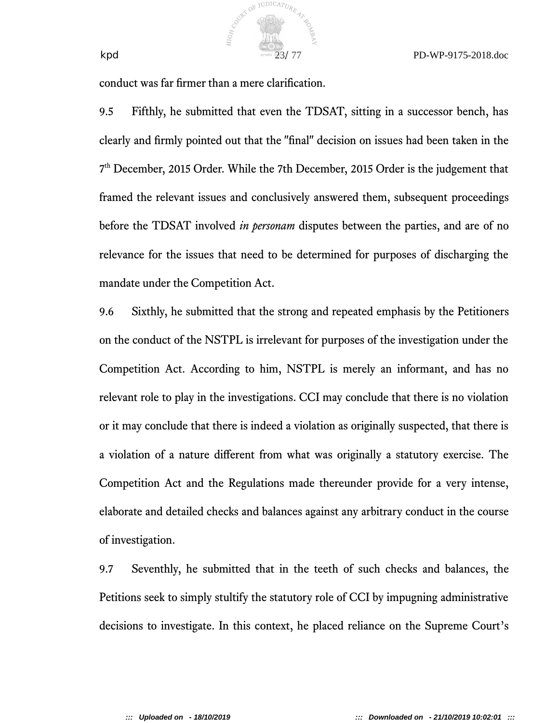conduct was far frmer than a mere clarifcation.

COUNTY OF JUDICATURE

9.5 Fifthly, he submitted that even the TDSAT, sitting in a successor bench, has clearly and frmly pointed out that the "fnal" decision on issues had been taken in the 7 th December, 2015 Order. While the 7th December, 2015 Order is the judgement that framed the relevant issues and conclusively answered them, subsequent proceedings before the TDSAT involved *in personam* disputes between the parties, and are of no relevance for the issues that need to be determined for purposes of discharging the mandate under the Competition Act.

9.6 Sixthly, he submitted that the strong and repeated emphasis by the Petitioners on the conduct of the NSTPL is irrelevant for purposes of the investigation under the Competition Act. According to him, NSTPL is merely an informant, and has no relevant role to play in the investigations. CCI may conclude that there is no violation or it may conclude that there is indeed a violation as originally suspected, that there is a violation of a nature diferent from what was originally a statutory exercise. The Competition Act and the Regulations made thereunder provide for a very intense, elaborate and detailed checks and balances against any arbitrary conduct in the course of investigation.

9.7 Seventhly, he submitted that in the teeth of such checks and balances, the Petitions seek to simply stultify the statutory role of CCI by impugning administrative decisions to investigate. In this context, he placed reliance on the Supreme Court's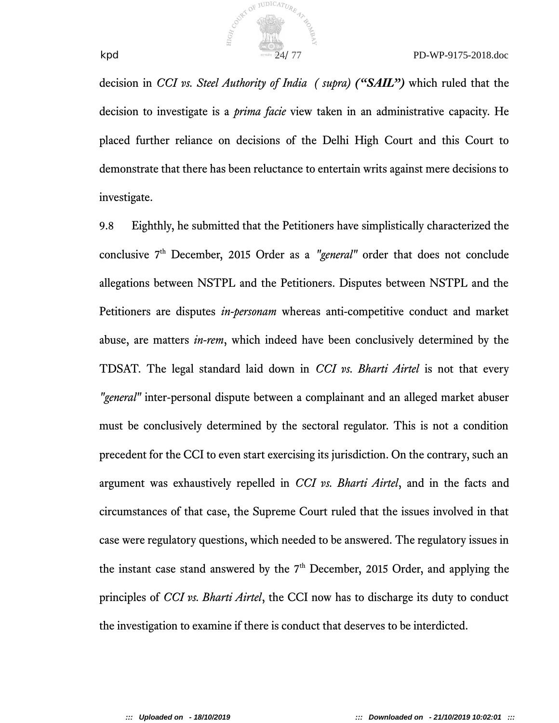

decision in *CCI vs. Steel Authority of India ( supra) ("SAIL")* which ruled that the decision to investigate is a *prima facie* view taken in an administrative capacity. He placed further reliance on decisions of the Delhi High Court and this Court to demonstrate that there has been reluctance to entertain writs against mere decisions to investigate.

9.8 Eighthly, he submitted that the Petitioners have simplistically characterized the conclusive 7<sup>th</sup> December, 2015 Order as a "general" order that does not conclude allegations between NSTPL and the Petitioners. Disputes between NSTPL and the Petitioners are disputes *in-personam* whereas anti-competitive conduct and market abuse, are matters *in-rem*, which indeed have been conclusively determined by the TDSAT. The legal standard laid down in *CCI vs. Bharti Airtel* is not that every *"general"* inter-personal dispute between a complainant and an alleged market abuser must be conclusively determined by the sectoral regulator. This is not a condition precedent for the CCI to even start exercising its jurisdiction. On the contrary, such an argument was exhaustively repelled in *CCI vs. Bharti Airtel*, and in the facts and circumstances of that case, the Supreme Court ruled that the issues involved in that case were regulatory questions, which needed to be answered. The regulatory issues in the instant case stand answered by the  $7<sup>th</sup>$  December, 2015 Order, and applying the principles of *CCI vs. Bharti Airtel*, the CCI now has to discharge its duty to conduct the investigation to examine if there is conduct that deserves to be interdicted.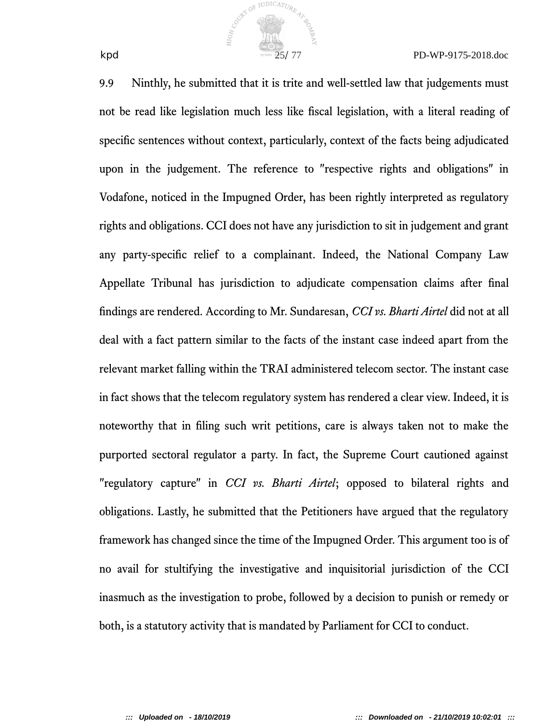

9.9 Ninthly, he submitted that it is trite and well-settled law that judgements must not be read like legislation much less like fscal legislation, with a literal reading of specifc sentences without context, particularly, context of the facts being adjudicated upon in the judgement. The reference to "respective rights and obligations" in Vodafone, noticed in the Impugned Order, has been rightly interpreted as regulatory rights and obligations. CCI does not have any jurisdiction to sit in judgement and grant any party-specifc relief to a complainant. Indeed, the National Company Law Appellate Tribunal has jurisdiction to adjudicate compensation claims after fnal fndings are rendered. According to Mr. Sundaresan, *CCI vs. Bharti Airtel* did not at all deal with a fact pattern similar to the facts of the instant case indeed apart from the relevant market falling within the TRAI administered telecom sector. The instant case in fact shows that the telecom regulatory system has rendered a clear view. Indeed, it is noteworthy that in fling such writ petitions, care is always taken not to make the purported sectoral regulator a party. In fact, the Supreme Court cautioned against "regulatory capture" in *CCI vs. Bharti Airtel*; opposed to bilateral rights and obligations. Lastly, he submitted that the Petitioners have argued that the regulatory framework has changed since the time of the Impugned Order. This argument too is of no avail for stultifying the investigative and inquisitorial jurisdiction of the CCI inasmuch as the investigation to probe, followed by a decision to punish or remedy or both, is a statutory activity that is mandated by Parliament for CCI to conduct.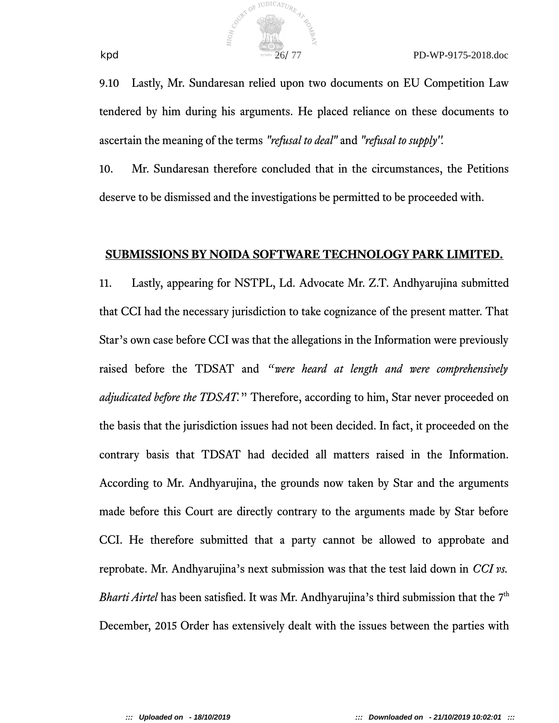

9.10 Lastly, Mr. Sundaresan relied upon two documents on EU Competition Law tendered by him during his arguments. He placed reliance on these documents to ascertain the meaning of the terms *"refusal to deal"* and *"refusal to supply''.*

10. Mr. Sundaresan therefore concluded that in the circumstances, the Petitions deserve to be dismissed and the investigations be permitted to be proceeded with.

#### **SUBMISSIONS BY NOIDA SOFTWARE TECHNOLOGY PARK LIMITED.**

11. Lastly, appearing for NSTPL, Ld. Advocate Mr. Z.T. Andhyarujina submitted that CCI had the necessary jurisdiction to take cognizance of the present matter. That Star's own case before CCI was that the allegations in the Information were previously raised before the TDSAT and *"were heard at length and were comprehensively adjudicated before the TDSAT.*" Therefore, according to him, Star never proceeded on the basis that the jurisdiction issues had not been decided. In fact, it proceeded on the contrary basis that TDSAT had decided all matters raised in the Information. According to Mr. Andhyarujina, the grounds now taken by Star and the arguments made before this Court are directly contrary to the arguments made by Star before CCI. He therefore submitted that a party cannot be allowed to approbate and reprobate. Mr. Andhyarujina's next submission was that the test laid down in *CCI vs.* Bharti Airtel has been satisfied. It was Mr. Andhyarujina's third submission that the 7<sup>th</sup> December, 2015 Order has extensively dealt with the issues between the parties with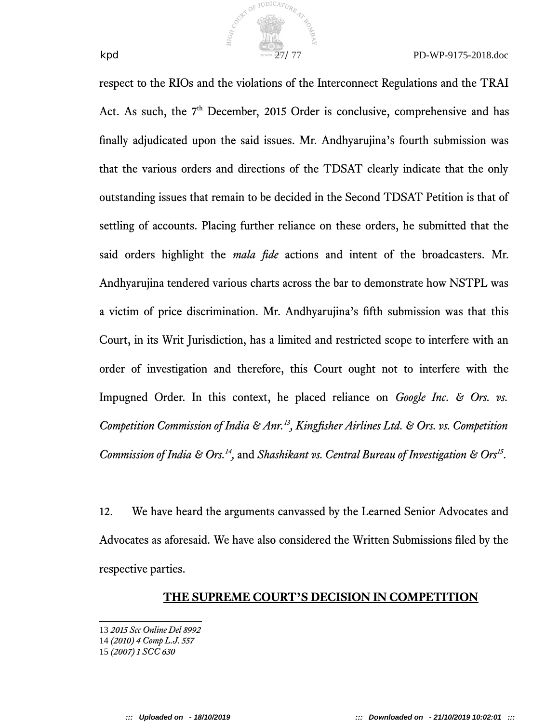

respect to the RIOs and the violations of the Interconnect Regulations and the TRAI Act. As such, the  $7<sup>th</sup>$  December, 2015 Order is conclusive, comprehensive and has fnally adjudicated upon the said issues. Mr. Andhyarujina's fourth submission was that the various orders and directions of the TDSAT clearly indicate that the only outstanding issues that remain to be decided in the Second TDSAT Petition is that of settling of accounts. Placing further reliance on these orders, he submitted that the said orders highlight the *mala fde* actions and intent of the broadcasters. Mr. Andhyarujina tendered various charts across the bar to demonstrate how NSTPL was a victim of price discrimination. Mr. Andhyarujina's ffth submission was that this Court, in its Writ Jurisdiction, has a limited and restricted scope to interfere with an order of investigation and therefore, this Court ought not to interfere with the Impugned Order. In this context, he placed reliance on *Google Inc. & Ors. vs. Competition Commission of India & Anr.<sup>13</sup>, Kingfsher Airlines Ltd. & Ors. vs. Competition* Commission of India & Ors.<sup>14</sup>, and Shashikant vs. Central Bureau of Investigation & Ors<sup>15</sup>.

COUNTY OF JUDICATURE 47

12. We have heard the arguments canvassed by the Learned Senior Advocates and Advocates as aforesaid. We have also considered the Written Submissions fled by the respective parties.

#### **THE SUPREME COURT'S DECISION IN COMPETITION**

<sup>13</sup> *2015 Scc Online Del 8992*

<sup>14</sup> *(2010) 4 Comp L.J. 557*

<sup>15</sup> *(2007) 1 SCC 630*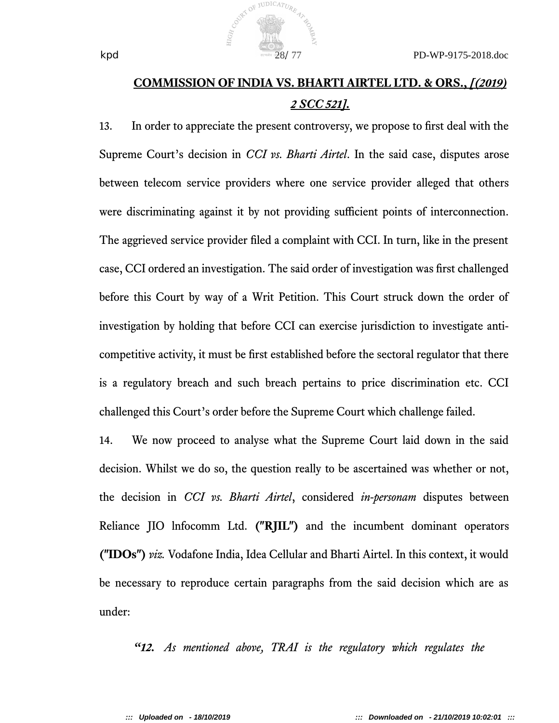## **COMMISSION OF INDIA VS. BHARTI AIRTEL LTD. & ORS.,** *[(2019) 2 SCC 521].*

13. In order to appreciate the present controversy, we propose to frst deal with the Supreme Court's decision in *CCI vs. Bharti Airtel*. In the said case, disputes arose between telecom service providers where one service provider alleged that others were discriminating against it by not providing sufficient points of interconnection. The aggrieved service provider fled a complaint with CCI. In turn, like in the present case, CCI ordered an investigation. The said order of investigation was frst challenged before this Court by way of a Writ Petition. This Court struck down the order of investigation by holding that before CCI can exercise jurisdiction to investigate anticompetitive activity, it must be frst established before the sectoral regulator that there is a regulatory breach and such breach pertains to price discrimination etc. CCI challenged this Court's order before the Supreme Court which challenge failed.

14. We now proceed to analyse what the Supreme Court laid down in the said decision. Whilst we do so, the question really to be ascertained was whether or not, the decision in *CCI vs. Bharti Airtel*, considered *in-personam* disputes between Reliance JIO lnfocomm Ltd. **("RJIL")** and the incumbent dominant operators **("IDOs")** *viz.* Vodafone India, Idea Cellular and Bharti Airtel. In this context, it would be necessary to reproduce certain paragraphs from the said decision which are as under:

*"12. As mentioned above, TRAI is the regulatory which regulates the*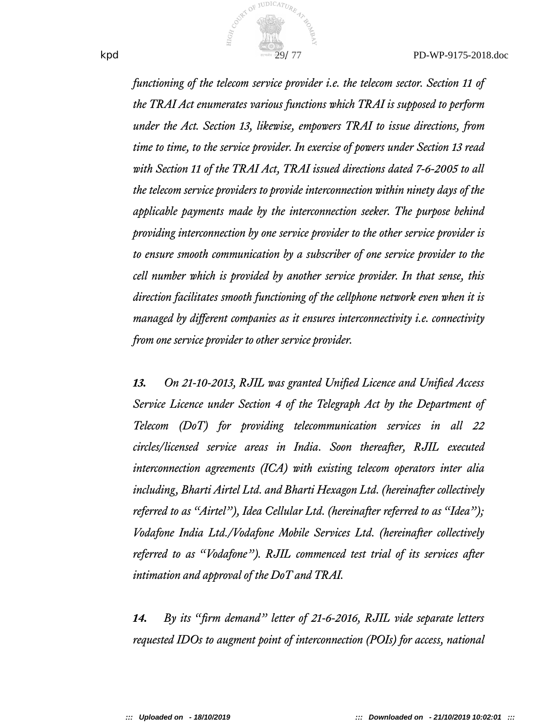

*functioning of the telecom service provider i.e. the telecom sector. Section 11 of the TRAI Act enumerates various functions which TRAI is supposed to perform under the Act. Section 13, likewise, empowers TRAI to issue directions, from time to time, to the service provider. In exercise of powers under Section 13 read with Section 11 of the TRAI Act, TRAI issued directions dated 7-6-2005 to all the telecom service providers to provide interconnection within ninety days of the applicable payments made by the interconnection seeker. The purpose behind providing interconnection by one service provider to the other service provider is to ensure smooth communication by a subscriber of one service provider to the cell number which is provided by another service provider. In that sense, this direction facilitates smooth functioning of the cellphone network even when it is managed by diferent companies as it ensures interconnectivity i.e. connectivity from one service provider to other service provider.*

*13. On 21-10-2013, RJIL was granted Unifed Licence and Unifed Access Service Licence under Section 4 of the Telegraph Act by the Department of Telecom (DoT) for providing telecommunication services in all 22 circles/licensed service areas in India. Soon thereafter, RJIL executed interconnection agreements (ICA) with existing telecom operators inter alia including, Bharti Airtel Ltd. and Bharti Hexagon Ltd. (hereinafter collectively referred to as "Airtel"), Idea Cellular Ltd. (hereinafter referred to as "Idea")*; *Vodafone India Ltd./Vodafone Mobile Services Ltd. (hereinafter collectively referred to as "Vodafone"). RJIL commenced test trial of its services after intimation and approval of the DoT and TRAI.*

*14. By its "frm demand" letter of 21-6-2016, RJIL vide separate letters requested IDOs to augment point of interconnection (POIs) for access, national*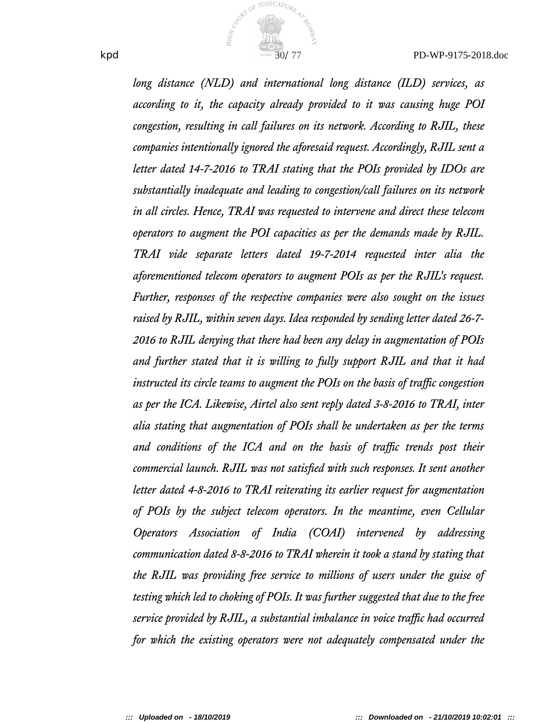

*long distance (NLD) and international long distance (ILD) services, as according to it, the capacity already provided to it was causing huge POI congestion, resulting in call failures on its network. According to RJIL, these companies intentionally ignored the aforesaid request. Accordingly, RJIL sent a letter dated 14-7-2016 to TRAI stating that the POIs provided by IDOs are substantially inadequate and leading to congestion/call failures on its network in all circles. Hence, TRAI was requested to intervene and direct these telecom operators to augment the POI capacities as per the demands made by RJIL. TRAI vide separate letters dated 19-7-2014 requested inter alia the aforementioned telecom operators to augment POIs as per the RJIL's request. Further, responses of the respective companies were also sought on the issues raised by RJIL, within seven days. Idea responded by sending letter dated 26-7- 2016 to RJIL denying that there had been any delay in augmentation of POIs and further stated that it is willing to fully support RJIL and that it had instructed its circle teams to augment the POIs on the basis of traffic congestion as per the ICA. Likewise, Airtel also sent reply dated 3-8-2016 to TRAI, inter alia stating that augmentation of POIs shall be undertaken as per the terms* and conditions of the ICA and on the basis of traffic trends post their *commercial launch. RJIL was not satisfed with such responses. It sent another letter dated 4-8-2016 to TRAI reiterating its earlier request for augmentation of POIs by the subject telecom operators. In the meantime, even Cellular Operators Association of India (COAI) intervened by addressing communication dated 8-8-2016 to TRAI wherein it took a stand by stating that the RJIL was providing free service to millions of users under the guise of testing which led to choking of POIs. It was further sugested that due to the free service provided by RJIL, a substantial imbalance in voice traffic had occurred for which the existing operators were not adequately compensated under the*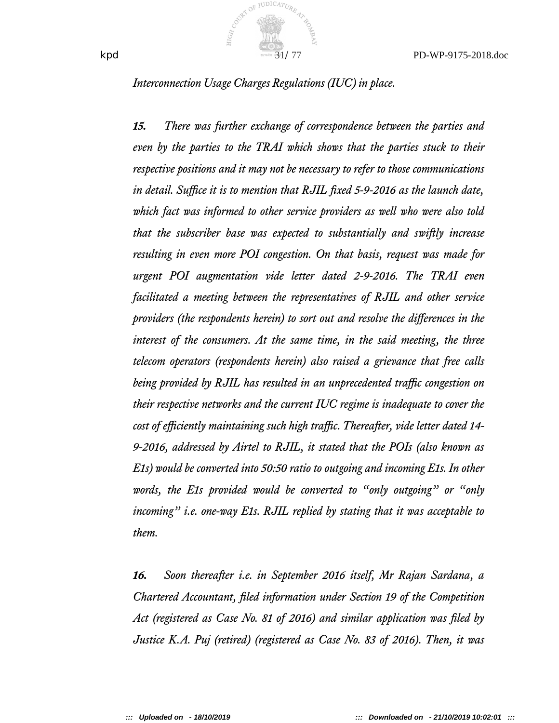

*Interconnection Usage Charges Regulations (IUC) in place.*

*15. There was further exchange of correspondence between the parties and even by the parties to the TRAI which shows that the parties stuck to their respective positions and it may not be necessary to refer to those communications* in detail. Suffice it is to mention that RJIL fixed 5-9-2016 as the launch date, *which fact was informed to other service providers as well who were also told that the subscriber base was expected to substantially and swiftly increase resulting in even more POI congestion. On that basis, request was made for urgent POI augmentation vide letter dated 2-9-2016. The TRAI even facilitated a meeting between the representatives of RJIL and other service providers (the respondents herein) to sort out and resolve the diferences in the interest of the consumers. At the same time, in the said meeting, the three telecom operators (respondents herein) also raised a grievance that free calls being provided by RJIL has resulted in an unprecedented traffic congestion on their respective networks and the current IUC regime is inadequate to cover the* cost of efficiently maintaining such high traffic. Thereafter, vide letter dated 14-*9-2016, addressed by Airtel to RJIL, it stated that the POIs (also known as E1s) would be converted into 50:50 ratio to outgoing and incoming E1s. In other words, the E1s provided would be converted to "only outgoing" or "only incoming" i.e. one-way E1s. RJIL replied by stating that it was acceptable to them.*

*16. Soon thereafter i.e. in September 2016 itself, Mr Rajan Sardana, a Chartered Accountant, fled information under Section 19 of the Competition Act (registered as Case No. 81 of 2016) and similar application was fled by Justice K.A. Puj (retired) (registered as Case No. 83 of 2016). Then, it was*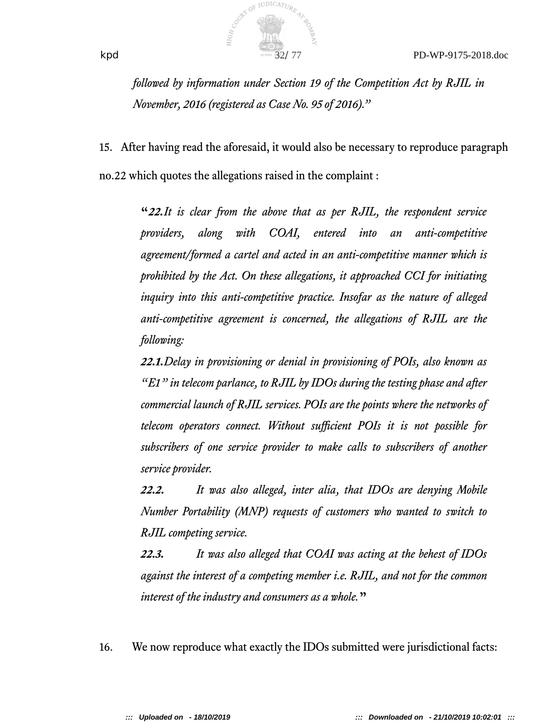

*followed by information under Section 19 of the Competition Act by RJIL in November, 2016 (registered as Case No. 95 of 2016)."*

15. After having read the aforesaid, it would also be necessary to reproduce paragraph no.22 which quotes the allegations raised in the complaint :

**"***22.It is clear from the above that as per RJIL, the respondent service providers, along with COAI, entered into an anti-competitive agreement/formed a cartel and acted in an anti-competitive manner which is prohibited by the Act. On these allegations, it approached CCI for initiating inquiry into this anti-competitive practice. Insofar as the nature of alleged anti-competitive agreement is concerned, the allegations of RJIL are the following:*

*22.1.Delay in provisioning or denial in provisioning of POIs, also known as "E1" in telecom parlance, to RJIL by IDOs during the testing phase and after commercial launch of RJIL services. POIs are the points where the networks of telecom operators connect. Without sufcient POIs it is not possible for subscribers of one service provider to make calls to subscribers of another service provider.*

*22.2. It was also alleged, inter alia, that IDOs are denying Mobile Number Portability (MNP) requests of customers who wanted to switch to RJIL competing service.*

*22.3. It was also alleged that COAI was acting at the behest of IDOs against the interest of a competing member i.e. RJIL, and not for the common interest of the industry and consumers as a whole.***"**

16. We now reproduce what exactly the IDOs submitted were jurisdictional facts: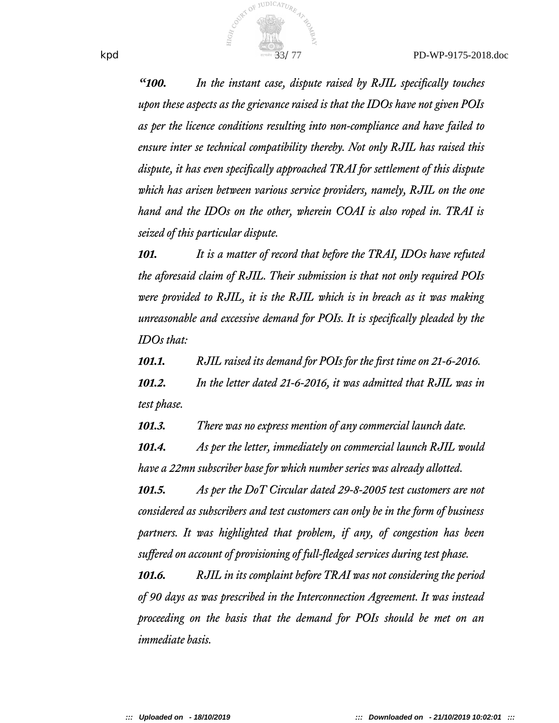

*"100. In the instant case, dispute raised by RJIL specifcally touches upon these aspects as the grievance raised is that the IDOs have not given POIs as per the licence conditions resulting into non-compliance and have failed to ensure inter se technical compatibility thereby. Not only RJIL has raised this dispute, it has even specifcally approached TRAI for settlement of this dispute which has arisen between various service providers, namely, RJIL on the one hand and the IDOs on the other, wherein COAI is also roped in. TRAI is seized of this particular dispute.*

*101. It is a matter of record that before the TRAI, IDOs have refuted the aforesaid claim of RJIL. Their submission is that not only required POIs were provided to RJIL, it is the RJIL which is in breach as it was making unreasonable and excessive demand for POIs. It is specifcally pleaded by the IDOs that:*

*101.1. RJIL raised its demand for POIs for the frst time on 21-6-2016.*

*101.2. In the letter dated 21-6-2016, it was admitted that RJIL was in test phase.*

*101.3. There was no express mention of any commercial launch date.*

*101.4. As per the letter, immediately on commercial launch RJIL would have a 22mn subscriber base for which number series was already allotted.*

*101.5. As per the DoT Circular dated 29-8-2005 test customers are not considered as subscribers and test customers can only be in the form of business partners. It was highlighted that problem, if any, of congestion has been sufered on account of provisioning of full-ledged services during test phase.*

*101.6. RJIL in its complaint before TRAI was not considering the period of 90 days as was prescribed in the Interconnection Agreement. It was instead proceeding on the basis that the demand for POIs should be met on an immediate basis.*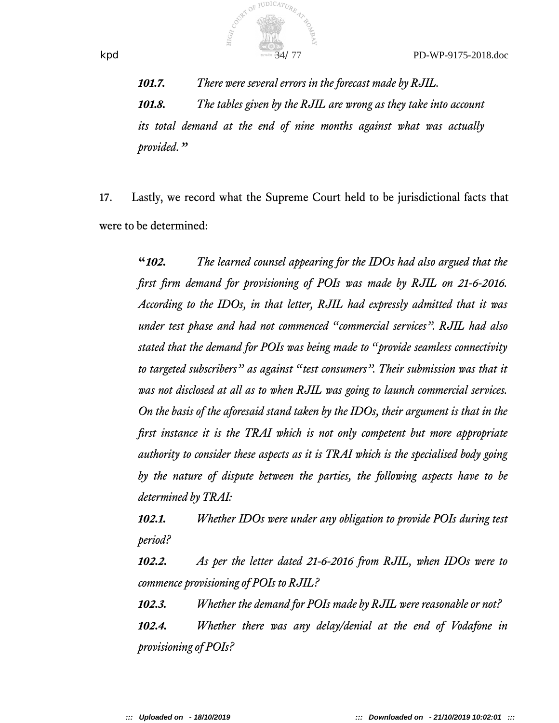

*101.7. There were several errors in the forecast made by RJIL. 101.8. The tables given by the RJIL are wrong as they take into account its total demand at the end of nine months against what was actually provided."*

17. Lastly, we record what the Supreme Court held to be jurisdictional facts that were to be determined:

**"***102. The learned counsel appearing for the IDOs had also argued that the frst frm demand for provisioning of POIs was made by RJIL on 21-6-2016. According to the IDOs, in that letter, RJIL had expressly admitted that it was under test phase and had not commenced "commercial services". RJIL had also stated that the demand for POIs was being made to "provide seamless connectivity to targeted subscribers" as against "test consumers". Their submission was that it was not disclosed at all as to when RJIL was going to launch commercial services. On the basis of the aforesaid stand taken by the IDOs, their argument is that in the frst instance it is the TRAI which is not only competent but more appropriate authority to consider these aspects as it is TRAI which is the specialised body going by the nature of dispute between the parties, the following aspects have to be determined by TRAI:*

*102.1. Whether IDOs were under any obligation to provide POIs during test period?*

*102.2. As per the letter dated 21-6-2016 from RJIL, when IDOs were to commence provisioning of POIs to RJIL?*

*102.3. Whether the demand for POIs made by RJIL were reasonable or not? 102.4. Whether there was any delay/denial at the end of Vodafone in provisioning of POIs?*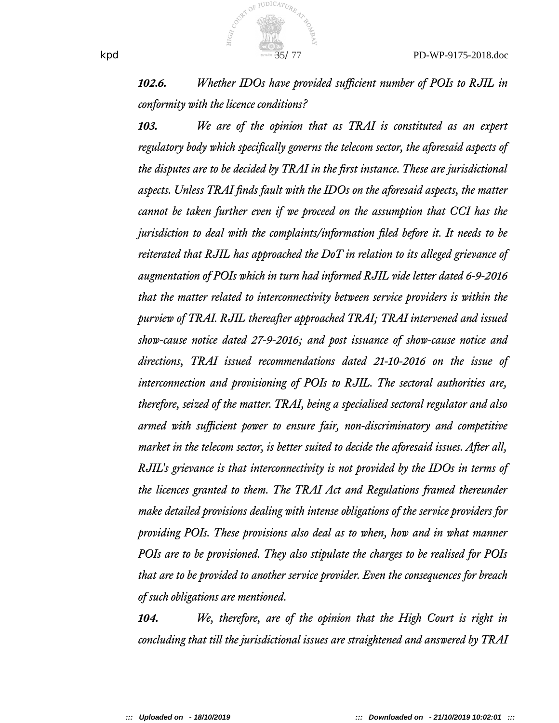

**102.6.** *Whether IDOs have provided sufficient number of POIs to RJIL in conformity with the licence conditions?*

*103. We are of the opinion that as TRAI is constituted as an expert regulatory body which specifcally governs the telecom sector, the aforesaid aspects of the disputes are to be decided by TRAI in the frst instance. These are jurisdictional aspects. Unless TRAI fnds fault with the IDOs on the aforesaid aspects, the matter cannot be taken further even if we proceed on the assumption that CCI has the jurisdiction to deal with the complaints/information fled before it. It needs to be reiterated that RJIL has approached the DoT in relation to its alleged grievance of augmentation of POIs which in turn had informed RJIL vide letter dated 6-9-2016 that the matter related to interconnectivity between service providers is within the purview of TRAI. RJIL thereafter approached TRAI; TRAI intervened and issued* show-cause notice dated 27-9-2016; and post issuance of show-cause notice and *directions, TRAI issued recommendations dated 21-10-2016 on the issue of interconnection and provisioning of POIs to RJIL. The sectoral authorities are, therefore, seized of the matter. TRAI, being a specialised sectoral regulator and also* armed with sufficient power to ensure fair, non-discriminatory and competitive *market in the telecom sector, is better suited to decide the aforesaid issues. After all, RJIL's grievance is that interconnectivity is not provided by the IDOs in terms of the licences granted to them. The TRAI Act and Regulations framed thereunder make detailed provisions dealing with intense obligations of the service providers for providing POIs. These provisions also deal as to when, how and in what manner POIs are to be provisioned. They also stipulate the charges to be realised for POIs that are to be provided to another service provider. Even the consequences for breach of such obligations are mentioned.*

*104. We, therefore, are of the opinion that the High Court is right in concluding that till the jurisdictional issues are straightened and answered by TRAI*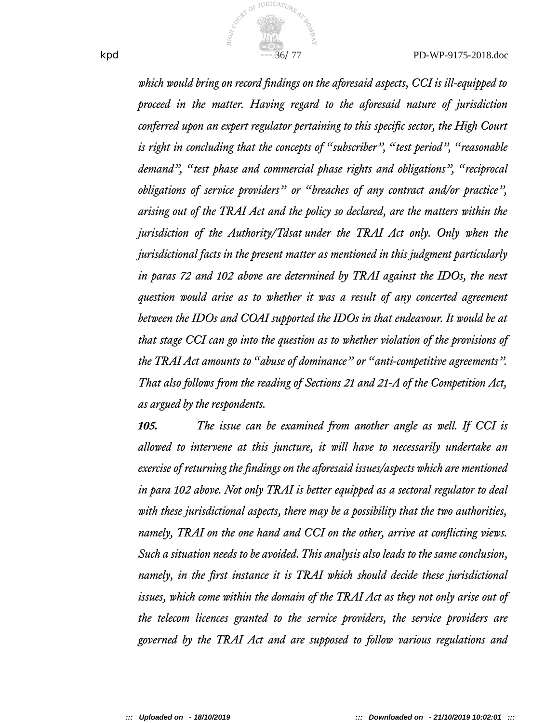

*which would bring on record fndings on the aforesaid aspects, CCI is ill-equipped to proceed in the matter. Having regard to the aforesaid nature of jurisdiction conferred upon an expert regulator pertaining to this specifc sector, the High Court is right in concluding that the concepts of "subscriber", "test period", "reasonable demand", "test phase and commercial phase rights and obligations", "reciprocal obligations of service providers" or "breaches of any contract and/or practice", arising out of the TRAI Act and the policy so declared, are the matters within the jurisdiction of the Authority/Tdsat under the TRAI Act only. Only when the jurisdictional facts in the present matter as mentioned in this judgment particularly in paras 72 and 102 above are determined by TRAI against the IDOs, the next question would arise as to whether it was a result of any concerted agreement between the IDOs and COAI supported the IDOs in that endeavour. It would be at that stage CCI can go into the question as to whether violation of the provisions of the TRAI Act amounts to "abuse of dominance" or "anti-competitive agreements". That also follows from the reading of Sections 21 and 21-A of the Competition Act, as argued by the respondents.*

*105. The issue can be examined from another angle as well. If CCI is allowed to intervene at this juncture, it will have to necessarily undertake an exercise of returning the fndings on the aforesaid issues/aspects which are mentioned in para 102 above. Not only TRAI is better equipped as a sectoral regulator to deal with these jurisdictional aspects, there may be a possibility that the two authorities, namely, TRAI on the one hand and CCI on the other, arrive at conlicting views. Such a situation needs to be avoided. This analysis also leads to the same conclusion, namely, in the frst instance it is TRAI which should decide these jurisdictional issues, which come within the domain of the TRAI Act as they not only arise out of the telecom licences granted to the service providers, the service providers are governed by the TRAI Act and are supposed to follow various regulations and*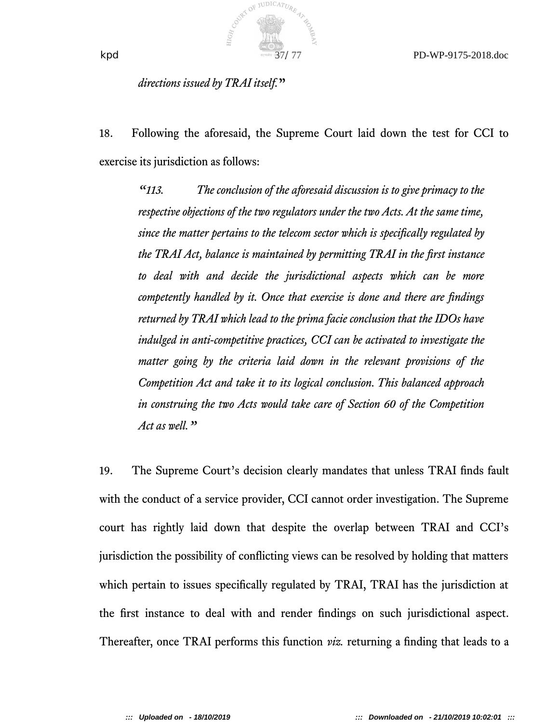

*directions issued by TRAI itself.***"**

18. Following the aforesaid, the Supreme Court laid down the test for CCI to exercise its jurisdiction as follows:

*"113. The conclusion of the aforesaid discussion is to give primacy to the respective objections of the two regulators under the two Acts. At the same time, since the matter pertains to the telecom sector which is specifcally regulated by the TRAI Act, balance is maintained by permitting TRAI in the frst instance to deal with and decide the jurisdictional aspects which can be more competently handled by it. Once that exercise is done and there are fndings returned by TRAI which lead to the prima facie conclusion that the IDOs have indulged in anti-competitive practices, CCI can be activated to investigate the matter going by the criteria laid down in the relevant provisions of the Competition Act and take it to its logical conclusion. This balanced approach in construing the two Acts would take care of Section 60 of the Competition Act as well."*

19. The Supreme Court's decision clearly mandates that unless TRAI fnds fault with the conduct of a service provider, CCI cannot order investigation. The Supreme court has rightly laid down that despite the overlap between TRAI and CCI's jurisdiction the possibility of conficting views can be resolved by holding that matters which pertain to issues specifically regulated by TRAI, TRAI has the jurisdiction at the frst instance to deal with and render fndings on such jurisdictional aspect. Thereafter, once TRAI performs this function *viz.* returning a fnding that leads to a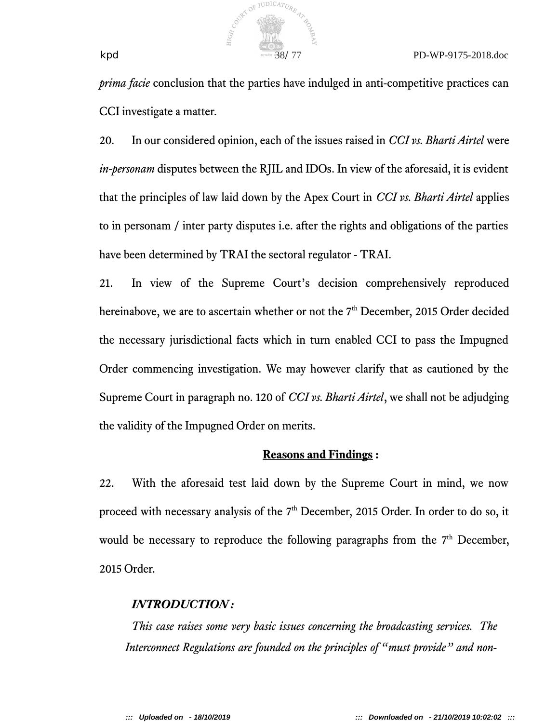

*prima facie* conclusion that the parties have indulged in anti-competitive practices can CCI investigate a matter.

20. In our considered opinion, each of the issues raised in *CCI vs. Bharti Airtel* were *in-personam* disputes between the RJIL and IDOs. In view of the aforesaid, it is evident that the principles of law laid down by the Apex Court in *CCI vs. Bharti Airtel* applies to in personam / inter party disputes i.e. after the rights and obligations of the parties have been determined by TRAI the sectoral regulator - TRAI.

21. In view of the Supreme Court's decision comprehensively reproduced hereinabove, we are to ascertain whether or not the 7<sup>th</sup> December, 2015 Order decided the necessary jurisdictional facts which in turn enabled CCI to pass the Impugned Order commencing investigation. We may however clarify that as cautioned by the Supreme Court in paragraph no. 120 of *CCI vs. Bharti Airtel*, we shall not be adjudging the validity of the Impugned Order on merits.

# **Reasons and Findings :**

22. With the aforesaid test laid down by the Supreme Court in mind, we now proceed with necessary analysis of the 7<sup>th</sup> December, 2015 Order. In order to do so, it would be necessary to reproduce the following paragraphs from the  $7<sup>th</sup>$  December, 2015 Order.

# *INTRODUCTION :*

*This case raises some very basic issues concerning the broadcasting services. The Interconnect Regulations are founded on the principles of "must provide" and non-*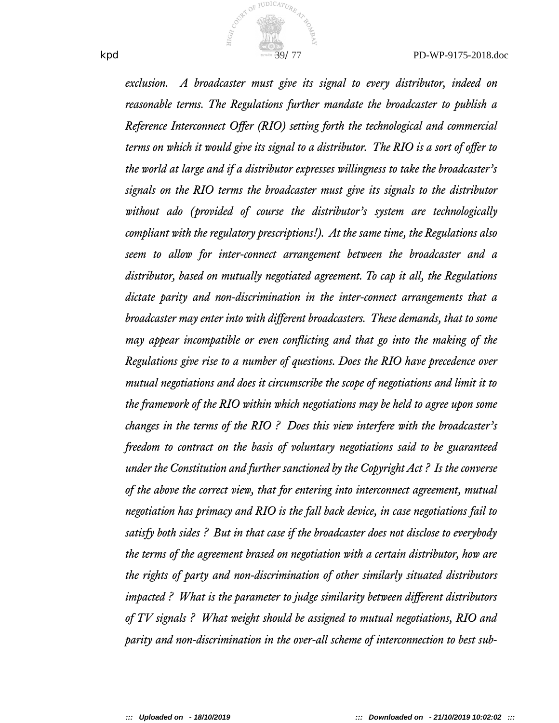

*exclusion. A broadcaster must give its signal to every distributor, indeed on reasonable terms. The Regulations further mandate the broadcaster to publish a Reference Interconnect Ofer (RIO) setting forth the technological and commercial terms on which it would give its signal to a distributor. The RIO is a sort of ofer to the world at large and if a distributor expresses willingness to take the broadcaster's signals on the RIO terms the broadcaster must give its signals to the distributor without ado (provided of course the distributor's system are technologically compliant with the regulatory prescriptions!). At the same time, the Regulations also seem to allow for inter-connect arrangement between the broadcaster and a distributor, based on mutually negotiated agreement. To cap it all, the Regulations dictate parity and non-discrimination in the inter-connect arrangements that a broadcaster may enter into with diferent broadcasters. These demands, that to some may appear incompatible or even conlicting and that go into the making of the Regulations give rise to a number of questions. Does the RIO have precedence over mutual negotiations and does it circumscribe the scope of negotiations and limit it to the framework of the RIO within which negotiations may be held to agree upon some changes in the terms of the RIO ? Does this view interfere with the broadcaster's freedom to contract on the basis of voluntary negotiations said to be guaranteed under the Constitution and further sanctioned by the Copyright Act ? Is the converse of the above the correct view, that for entering into interconnect agreement, mutual negotiation has primacy and RIO is the fall back device, in case negotiations fail to satisfy both sides ? But in that case if the broadcaster does not disclose to everybody the terms of the agreement brased on negotiation with a certain distributor, how are the rights of party and non-discrimination of other similarly situated distributors impacted ? What is the parameter to judge similarity between diferent distributors of TV signals ? What weight should be assigned to mutual negotiations, RIO and parity and non-discrimination in the over-all scheme of interconnection to best sub-*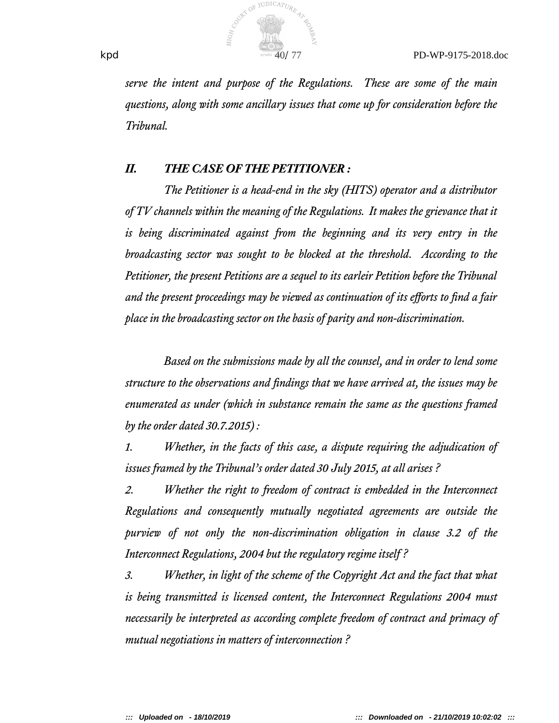

*serve the intent and purpose of the Regulations. These are some of the main questions, along with some ancillary issues that come up for consideration before the Tribunal.*

## *II. THE CASE OF THE PETITIONER :*

*The Petitioner is a head-end in the sky (HITS) operator and a distributor of TV channels within the meaning of the Regulations. It makes the grievance that it is being discriminated against from the beginning and its very entry in the broadcasting sector was sought to be blocked at the threshold. According to the Petitioner, the present Petitions are a sequel to its earleir Petition before the Tribunal and the present proceedings may be viewed as continuation of its eforts to fnd a fair place in the broadcasting sector on the basis of parity and non-discrimination.*

*Based on the submissions made by all the counsel, and in order to lend some structure to the observations and fndings that we have arrived at, the issues may be enumerated as under (which in substance remain the same as the questions framed by the order dated 30.7.2015) :*

*1. Whether, in the facts of this case, a dispute requiring the adjudication of issues framed by the Tribunal's order dated 30 July 2015, at all arises ?*

*2. Whether the right to freedom of contract is embedded in the Interconnect Regulations and consequently mutually negotiated agreements are outside the purview of not only the non-discrimination obligation in clause 3.2 of the Interconnect Regulations, 2004 but the regulatory regime itself ?*

*3. Whether, in light of the scheme of the Copyright Act and the fact that what is being transmitted is licensed content, the Interconnect Regulations 2004 must necessarily be interpreted as according complete freedom of contract and primacy of mutual negotiations in matters of interconnection ?*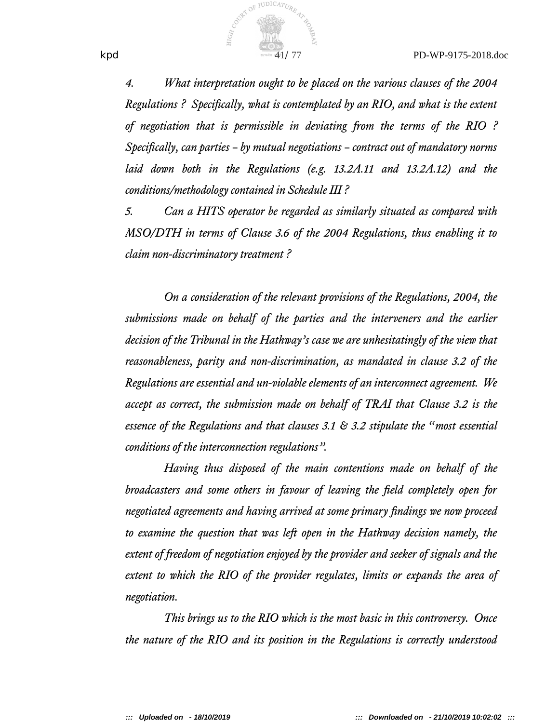

*4. What interpretation ought to be placed on the various clauses of the 2004 Regulations ? Specifcally, what is contemplated by an RIO, and what is the extent of negotiation that is permissible in deviating from the terms of the RIO ? Specifcally, can parties – by mutual negotiations – contract out of mandatory norms laid down both in the Regulations (e.g. 13.2A.11 and 13.2A.12) and the conditions/methodology contained in Schedule III?* 

*5. Can a HITS operator be regarded as similarly situated as compared with MSO/DTH in terms of Clause 3.6 of the 2004 Regulations, thus enabling it to claim non-discriminatory treatment ?*

*On a consideration of the relevant provisions of the Regulations, 2004, the submissions made on behalf of the parties and the interveners and the earlier decision of the Tribunal in the Hathway's case we are unhesitatingly of the view that reasonableness, parity and non-discrimination, as mandated in clause 3.2 of the Regulations are essential and un-violable elements of an interconnect agreement. We accept as correct, the submission made on behalf of TRAI that Clause 3.2 is the essence of the Regulations and that clauses 3.1 & 3.2 stipulate the "most essential conditions of the interconnection regulations".*

*Having thus disposed of the main contentions made on behalf of the broadcasters and some others in favour of leaving the feld completely open for negotiated agreements and having arrived at some primary fndings we now proceed to examine the question that was left open in the Hathway decision namely, the extent of freedom of negotiation enjoyed by the provider and seeker of signals and the extent to which the RIO of the provider regulates, limits or expands the area of negotiation.*

*This brings us to the RIO which is the most basic in this controversy. Once the nature of the RIO and its position in the Regulations is correctly understood*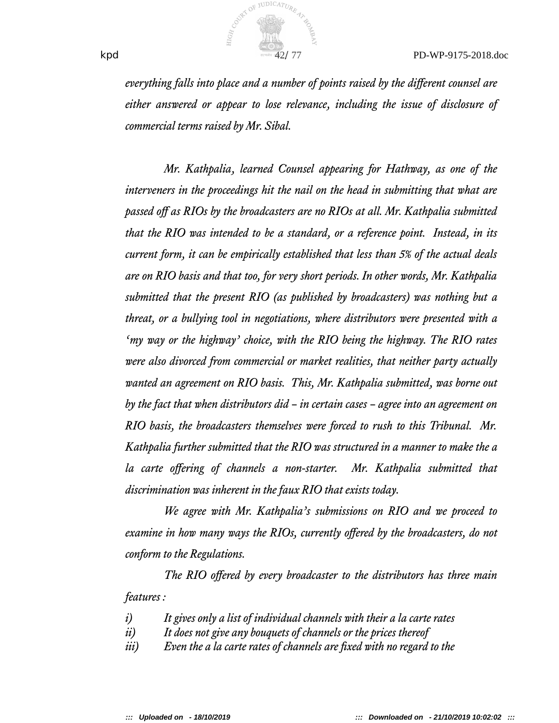

*everything falls into place and a number of points raised by the diferent counsel are either answered or appear to lose relevance, including the issue of disclosure of commercial terms raised by Mr. Sibal.*

*Mr. Kathpalia, learned Counsel appearing for Hathway, as one of the interveners in the proceedings hit the nail on the head in submitting that what are passed off as RIOs by the broadcasters are no RIOs at all. Mr. Kathpalia submitted that the RIO was intended to be a standard, or a reference point. Instead, in its current form, it can be empirically established that less than 5% of the actual deals are on RIO basis and that too, for very short periods. In other words, Mr. Kathpalia submitted that the present RIO (as published by broadcasters) was nothing but a threat, or a bullying tool in negotiations, where distributors were presented with a 'my way or the highway' choice, with the RIO being the highway. The RIO rates were also divorced from commercial or market realities, that neither party actually wanted an agreement on RIO basis. This, Mr. Kathpalia submitted, was borne out by the fact that when distributors did – in certain cases – agree into an agreement on RIO basis, the broadcasters themselves were forced to rush to this Tribunal. Mr. Kathpalia further submitted that the RIO was structured in a manner to make the a la carte ofering of channels a non-starter. Mr. Kathpalia submitted that discrimination was inherent in the faux RIO that exists today.*

*We agree with Mr. Kathpalia's submissions on RIO and we proceed to examine in how many ways the RIOs, currently ofered by the broadcasters, do not conform to the Regulations.*

*The RIO ofered by every broadcaster to the distributors has three main features :*

- *i) It gives only a list of individual channels with their a la carte rates*
- *ii) It does not give any bouquets of channels or the prices thereof*
- *iii) Even the a la carte rates of channels are fxed with no regard to the*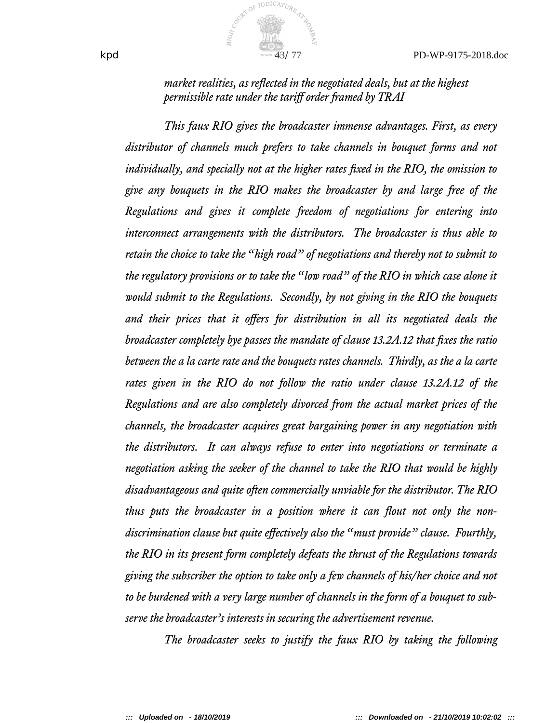$kpd$ 

*market realities, as relected in the negotiated deals, but at the highest permissible rate under the tarif order framed by TRAI* 

*This faux RIO gives the broadcaster immense advantages. First, as every distributor of channels much prefers to take channels in bouquet forms and not individually, and specially not at the higher rates fxed in the RIO, the omission to give any bouquets in the RIO makes the broadcaster by and large free of the Regulations and gives it complete freedom of negotiations for entering into interconnect arrangements with the distributors. The broadcaster is thus able to retain the choice to take the "high road" of negotiations and thereby not to submit to the regulatory provisions or to take the "low road" of the RIO in which case alone it would submit to the Regulations. Secondly, by not giving in the RIO the bouquets* and their prices that it offers for distribution in all its negotiated deals the *broadcaster completely bye passes the mandate of clause 13.2A.12 that fxes the ratio between the a la carte rate and the bouquets rates channels. Thirdly, as the a la carte rates given in the RIO do not follow the ratio under clause 13.2A.12 of the Regulations and are also completely divorced from the actual market prices of the channels, the broadcaster acquires great bargaining power in any negotiation with the distributors. It can always refuse to enter into negotiations or terminate a negotiation asking the seeker of the channel to take the RIO that would be highly disadvantageous and quite often commercially unviable for the distributor. The RIO thus puts the broadcaster in a position where it can lout not only the nondiscrimination clause but quite efectively also the "must provide" clause. Fourthly, the RIO in its present form completely defeats the thrust of the Regulations towards giving the subscriber the option to take only a few channels of his/her choice and not to be burdened with a very large number of channels in the form of a bouquet to subserve the broadcaster's interests in securing the advertisement revenue.*

*The broadcaster seeks to justify the faux RIO by taking the following*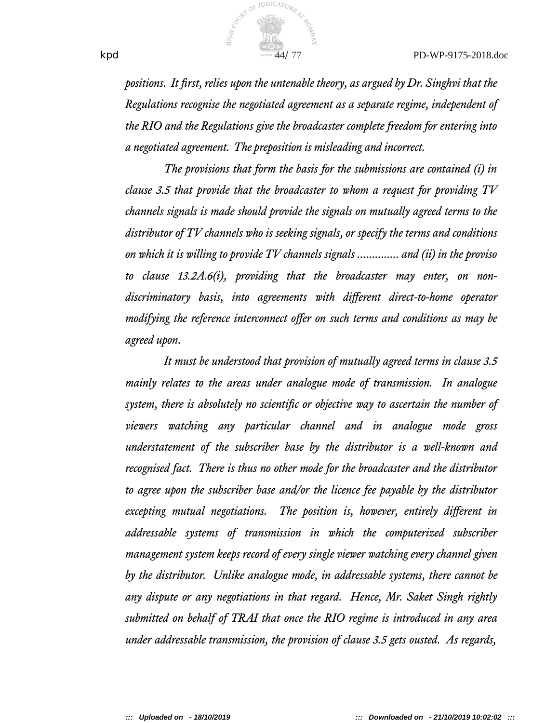

*positions. It frst, relies upon the untenable theory, as argued by Dr. Singhvi that the Regulations recognise the negotiated agreement as a separate regime, independent of the RIO and the Regulations give the broadcaster complete freedom for entering into a negotiated agreement. The preposition is misleading and incorrect.*

*The provisions that form the basis for the submissions are contained (i) in clause 3.5 that provide that the broadcaster to whom a request for providing TV channels signals is made should provide the signals on mutually agreed terms to the distributor of TV channels who is seeking signals, or specify the terms and conditions on which it is willing to provide TV channels signals .............. and (ii) in the proviso to clause 13.2A.6(i), providing that the broadcaster may enter, on nondiscriminatory basis, into agreements with diferent direct-to-home operator modifying the reference interconnect offer on such terms and conditions as may be agreed upon.*

*It must be understood that provision of mutually agreed terms in clause 3.5 mainly relates to the areas under analogue mode of transmission. In analogue system, there is absolutely no scientifc or objective way to ascertain the number of viewers watching any particular channel and in analogue mode gross understatement of the subscriber base by the distributor is a well-known and recognised fact. There is thus no other mode for the broadcaster and the distributor to agree upon the subscriber base and/or the licence fee payable by the distributor excepting mutual negotiations. The position is, however, entirely diferent in addressable systems of transmission in which the computerized subscriber management system keeps record of every single viewer watching every channel given by the distributor. Unlike analogue mode, in addressable systems, there cannot be any dispute or any negotiations in that regard. Hence, Mr. Saket Singh rightly submitted on behalf of TRAI that once the RIO regime is introduced in any area under addressable transmission, the provision of clause 3.5 gets ousted. As regards,*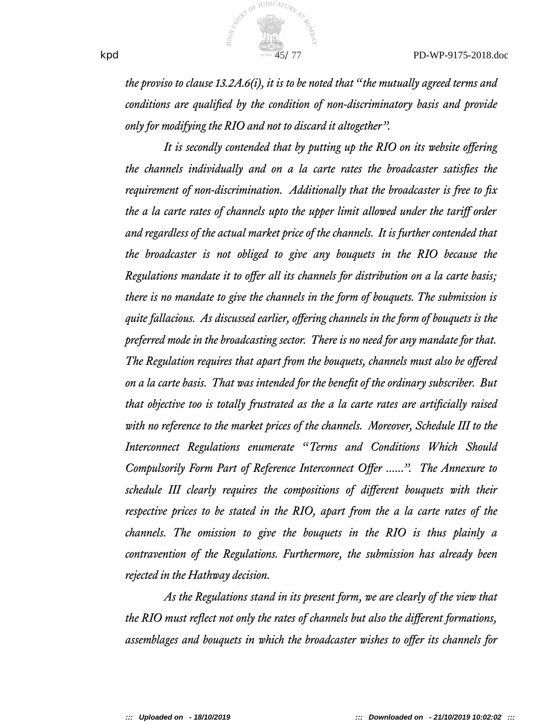

*the proviso to clause 13.2A.6(i), it is to be noted that "the mutually agreed terms and conditions are qualifed by the condition of non-discriminatory basis and provide only for modifying the RIO and not to discard it altogether".*

*It is secondly contended that by putting up the RIO on its website ofering the channels individually and on a la carte rates the broadcaster satisfes the requirement of non-discrimination. Additionally that the broadcaster is free to fx the a la carte rates of channels upto the upper limit allowed under the tarif order and regardless of the actual market price of the channels. It is further contended that the broadcaster is not obliged to give any bouquets in the RIO because the Regulations mandate it to offer all its channels for distribution on a la carte basis*; *there is no mandate to give the channels in the form of bouquets. The submission is quite fallacious. As discussed earlier, ofering channels in the form of bouquets is the preferred mode in the broadcasting sector. There is no need for any mandate for that. The Regulation requires that apart from the bouquets, channels must also be ofered on a la carte basis. That was intended for the beneft of the ordinary subscriber. But that objective too is totally frustrated as the a la carte rates are artifcially raised with no reference to the market prices of the channels. Moreover, Schedule III to the Interconnect Regulations enumerate "Terms and Conditions Which Should Compulsorily Form Part of Reference Interconnect Ofer ......". The Annexure to schedule III clearly requires the compositions of diferent bouquets with their respective prices to be stated in the RIO, apart from the a la carte rates of the channels. The omission to give the bouquets in the RIO is thus plainly a contravention of the Regulations. Furthermore, the submission has already been rejected in the Hathway decision.*

*As the Regulations stand in its present form, we are clearly of the view that the RIO must relect not only the rates of channels but also the diferent formations, assemblages and bouquets in which the broadcaster wishes to ofer its channels for*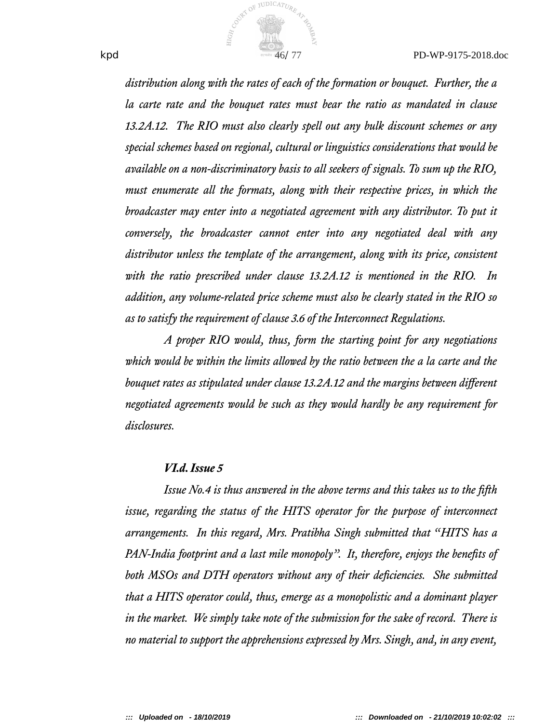

*distribution along with the rates of each of the formation or bouquet. Further, the a la carte rate and the bouquet rates must bear the ratio as mandated in clause 13.2A.12. The RIO must also clearly spell out any bulk discount schemes or any special schemes based on regional, cultural or linguistics considerations that would be available on a non-discriminatory basis to all seekers of signals. To sum up the RIO, must enumerate all the formats, along with their respective prices, in which the broadcaster may enter into a negotiated agreement with any distributor. To put it conversely, the broadcaster cannot enter into any negotiated deal with any distributor unless the template of the arrangement, along with its price, consistent with the ratio prescribed under clause 13.2A.12 is mentioned in the RIO. In addition, any volume-related price scheme must also be clearly stated in the RIO so as to satisfy the requirement of clause 3.6 of the Interconnect Regulations.*

*A proper RIO would, thus, form the starting point for any negotiations which would be within the limits allowed by the ratio between the a la carte and the bouquet rates as stipulated under clause 13.2A.12 and the margins between diferent negotiated agreements would be such as they would hardly be any requirement for disclosures.*

### *VI.d. Issue 5*

*Issue No.4 is thus answered in the above terms and this takes us to the ffth issue, regarding the status of the HITS operator for the purpose of interconnect arrangements. In this regard, Mrs. Pratibha Singh submitted that "HITS has a PAN-India footprint and a last mile monopoly". It, therefore, enjoys the benefts of both MSOs and DTH operators without any of their defciencies. She submitted that a HITS operator could, thus, emerge as a monopolistic and a dominant player in the market. We simply take note of the submission for the sake of record. There is no material to support the apprehensions expressed by Mrs. Singh, and, in any event,*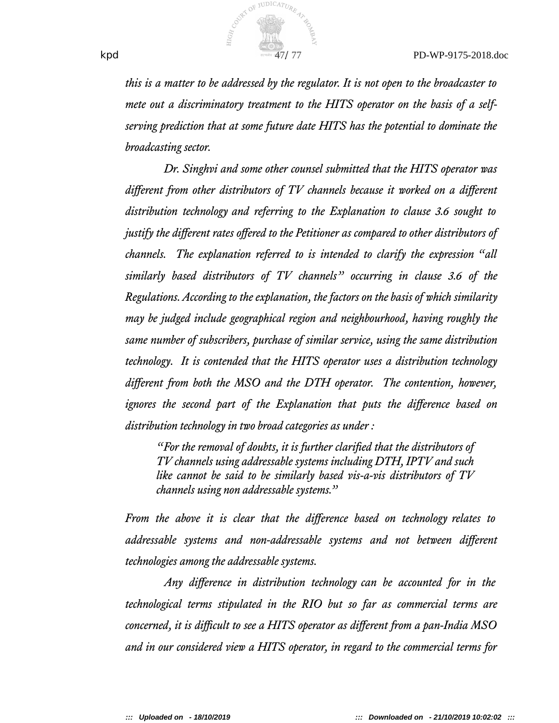

*this is a matter to be addressed by the regulator. It is not open to the broadcaster to mete out a discriminatory treatment to the HITS operator on the basis of a selfserving prediction that at some future date HITS has the potential to dominate the broadcasting sector.*

*Dr. Singhvi and some other counsel submitted that the HITS operator was diferent from other distributors of TV channels because it worked on a diferent* distribution technology and referring to the Explanation to clause 3.6 sought to *justify the different rates offered to the Petitioner as compared to other distributors of channels. The explanation referred to is intended to clarify the expression "all similarly based distributors of TV channels" occurring in clause 3.6 of the Regulations. According to the explanation, the factors on the basis of which similarity may be judged include geographical region and neighbourhood, having roughly the same number of subscribers, purchase of similar service, using the same distribution technolog. It is contended that the HITS operator uses a distribution technolog diferent from both the MSO and the DTH operator. The contention, however, ignores the second part of the Explanation that puts the diference based on* distribution technology in two broad categories as under :

*"For the removal of doubts, it is further clarifed that the distributors of TV channels using addressable systems including DTH, IPTV and such like cannot be said to be similarly based vis-a-vis distributors of TV channels using non addressable systems."*

*From the above it is clear that the difference based on technology relates to addressable systems and non-addressable systems and not between diferent technologies among the addressable systems.*

*Any difference in distribution technology can be accounted for in the technological terms stipulated in the RIO but so far as commercial terms are concerned, it is difcult to see a HITS operator as diferent from a pan-India MSO and in our considered view a HITS operator, in regard to the commercial terms for*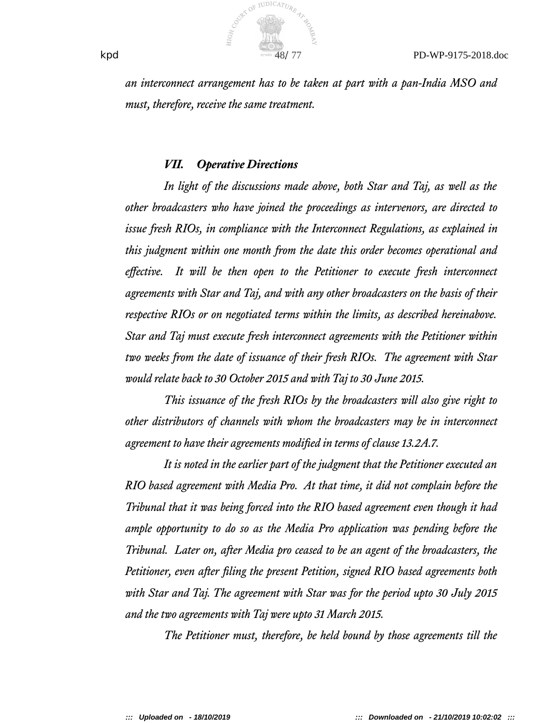

*an interconnect arrangement has to be taken at part with a pan-India MSO and must, therefore, receive the same treatment.*

#### *VII. Operative Directions*

*In light of the discussions made above, both Star and Taj, as well as the other broadcasters who have joined the proceedings as intervenors, are directed to issue fresh RIOs, in compliance with the Interconnect Regulations, as explained in this judgment within one month from the date this order becomes operational and efective. It will be then open to the Petitioner to execute fresh interconnect agreements with Star and Taj, and with any other broadcasters on the basis of their respective RIOs or on negotiated terms within the limits, as described hereinabove. Star and Taj must execute fresh interconnect agreements with the Petitioner within two weeks from the date of issuance of their fresh RIOs. The agreement with Star would relate back to 30 October 2015 and with Taj to 30 June 2015.*

*This issuance of the fresh RIOs by the broadcasters will also give right to other distributors of channels with whom the broadcasters may be in interconnect agreement to have their agreements modifed in terms of clause 13.2A.7.*

*It is noted in the earlier part of the judgment that the Petitioner executed an RIO based agreement with Media Pro. At that time, it did not complain before the Tribunal that it was being forced into the RIO based agreement even though it had ample opportunity to do so as the Media Pro application was pending before the Tribunal. Later on, after Media pro ceased to be an agent of the broadcasters, the Petitioner, even after fling the present Petition, signed RIO based agreements both with Star and Taj. The agreement with Star was for the period upto 30 July 2015 and the two agreements with Taj were upto 31 March 2015.*

*The Petitioner must, therefore, be held bound by those agreements till the*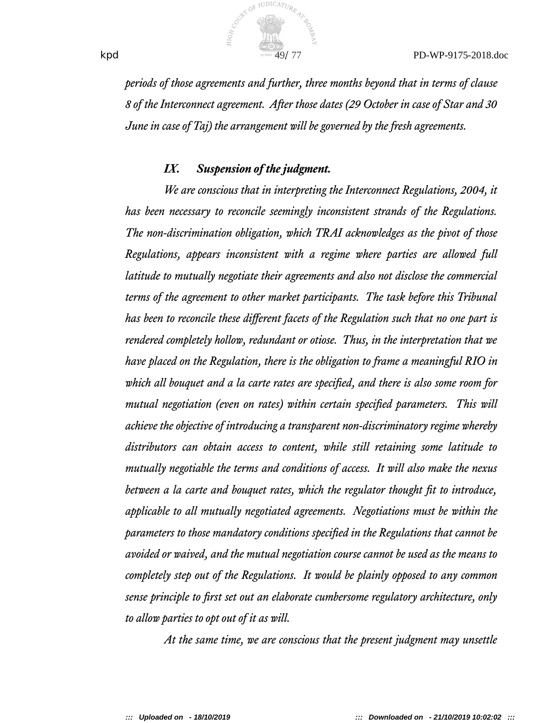

*periods of those agreements and further, three months beyond that in terms of clause 8 of the Interconnect agreement. After those dates (29 October in case of Star and 30 June in case of Taj) the arrangement will be governed by the fresh agreements.*

#### *IX. Suspension of the judgment.*

*We are conscious that in interpreting the Interconnect Regulations, 2004, it has been necessary to reconcile seemingly inconsistent strands of the Regulations. The non-discrimination obligation, which TRAI acknowledges as the pivot of those Regulations, appears inconsistent with a regime where parties are allowed full latitude to mutually negotiate their agreements and also not disclose the commercial terms of the agreement to other market participants. The task before this Tribunal has been to reconcile these diferent facets of the Regulation such that no one part is rendered completely hollow, redundant or otiose. Thus, in the interpretation that we have placed on the Regulation, there is the obligation to frame a meaningful RIO in which all bouquet and a la carte rates are specifed, and there is also some room for mutual negotiation (even on rates) within certain specifed parameters. This will achieve the objective of introducing a transparent non-discriminatory regime whereby distributors can obtain access to content, while still retaining some latitude to mutually negotiable the terms and conditions of access. It will also make the nexus between a la carte and bouquet rates, which the regulator thought ft to introduce, applicable to all mutually negotiated agreements. Negotiations must be within the parameters to those mandatory conditions specifed in the Regulations that cannot be avoided or waived, and the mutual negotiation course cannot be used as the means to completely step out of the Regulations. It would be plainly opposed to any common sense principle to frst set out an elaborate cumbersome regulatory architecture, only to allow parties to opt out of it as will.*

*At the same time, we are conscious that the present judgment may unsettle*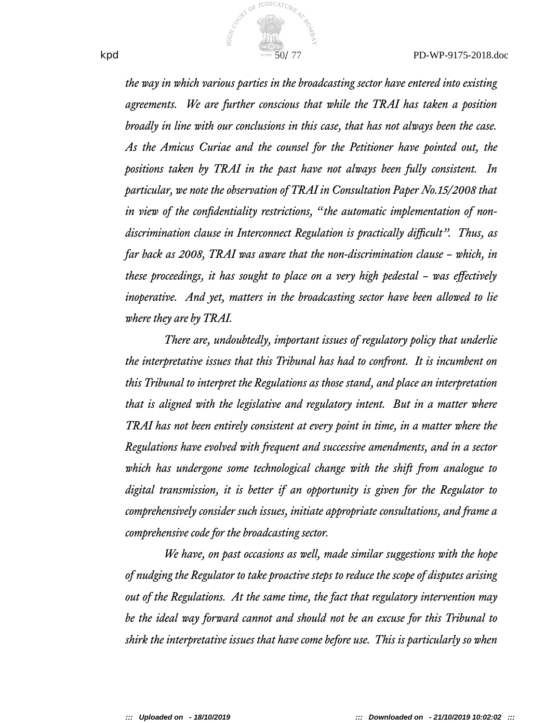

*the way in which various parties in the broadcasting sector have entered into existing agreements. We are further conscious that while the TRAI has taken a position broadly in line with our conclusions in this case, that has not always been the case. As the Amicus Curiae and the counsel for the Petitioner have pointed out, the positions taken by TRAI in the past have not always been fully consistent. In particular, we note the observation of TRAI in Consultation Paper No.15/2008 that in view of the confdentiality restrictions, "the automatic implementation of non*discrimination clause in Interconnect Regulation is practically difficult". Thus, as *far back as 2008, TRAI was aware that the non-discrimination clause – which, in these proceedings, it has sought to place on a very high pedestal – was efectively inoperative. And yet, matters in the broadcasting sector have been allowed to lie where they are by TRAI.*

*There are, undoubtedly, important issues of regulatory policy that underlie the interpretative issues that this Tribunal has had to confront. It is incumbent on this Tribunal to interpret the Regulations as those stand, and place an interpretation that is aligned with the legislative and regulatory intent. But in a matter where TRAI has not been entirely consistent at every point in time, in a matter where the Regulations have evolved with frequent and successive amendments, and in a sector which has undergone some technological change with the shift from analogue to digital transmission, it is better if an opportunity is given for the Regulator to comprehensively consider such issues, initiate appropriate consultations, and frame a comprehensive code for the broadcasting sector.*

*We have, on past occasions as well, made similar sugestions with the hope of nudging the Regulator to take proactive steps to reduce the scope of disputes arising out of the Regulations. At the same time, the fact that regulatory intervention may be the ideal way forward cannot and should not be an excuse for this Tribunal to shirk the interpretative issues that have come before use. This is particularly so when*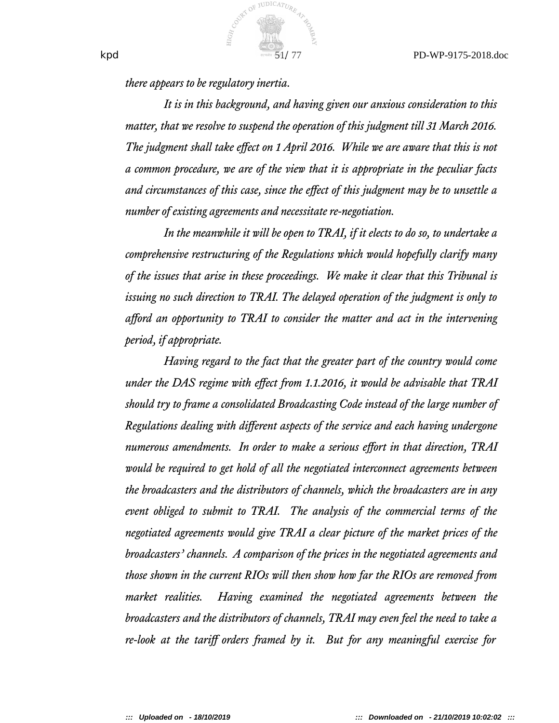

*there appears to be regulatory inertia.*

*It is in this background, and having given our anxious consideration to this matter, that we resolve to suspend the operation of this judgment till 31 March 2016. The judgment shall take efect on 1 April 2016. While we are aware that this is not a common procedure, we are of the view that it is appropriate in the peculiar facts* and circumstances of this case, since the effect of this judgment may be to unsettle a *number of existing agreements and necessitate re-negotiation.*

*In the meanwhile it will be open to TRAI, if it elects to do so, to undertake a comprehensive restructuring of the Regulations which would hopefully clarify many of the issues that arise in these proceedings. We make it clear that this Tribunal is issuing no such direction to TRAI. The delayed operation of the judgment is only to aford an opportunity to TRAI to consider the matter and act in the intervening period, if appropriate.*

*Having regard to the fact that the greater part of the country would come under the DAS regime with efect from 1.1.2016, it would be advisable that TRAI should try to frame a consolidated Broadcasting Code instead of the large number of Regulations dealing with diferent aspects of the service and each having undergone numerous amendments. In order to make a serious efort in that direction, TRAI would be required to get hold of all the negotiated interconnect agreements between the broadcasters and the distributors of channels, which the broadcasters are in any event obliged to submit to TRAI. The analysis of the commercial terms of the negotiated agreements would give TRAI a clear picture of the market prices of the broadcasters' channels. A comparison of the prices in the negotiated agreements and those shown in the current RIOs will then show how far the RIOs are removed from market realities. Having examined the negotiated agreements between the broadcasters and the distributors of channels, TRAI may even feel the need to take a re-look at the tarif orders framed by it. But for any meaningful exercise for*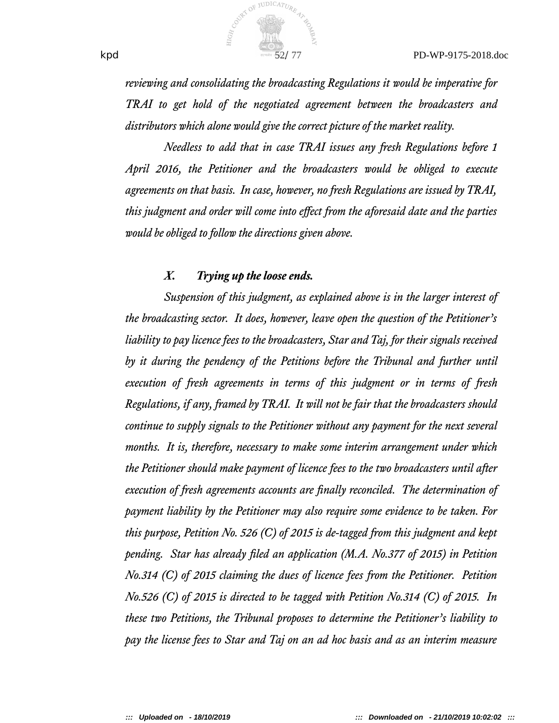

*reviewing and consolidating the broadcasting Regulations it would be imperative for TRAI to get hold of the negotiated agreement between the broadcasters and distributors which alone would give the correct picture of the market reality.*

*Needless to add that in case TRAI issues any fresh Regulations before 1 April 2016, the Petitioner and the broadcasters would be obliged to execute agreements on that basis. In case, however, no fresh Regulations are issued by TRAI, this judgment and order will come into efect from the aforesaid date and the parties would be obliged to follow the directions given above.*

#### *X. Trying up the loose ends.*

*Suspension of this judgment, as explained above is in the larger interest of the broadcasting sector. It does, however, leave open the question of the Petitioner's liability to pay licence fees to the broadcasters, Star and Taj, for their signals received by it during the pendency of the Petitions before the Tribunal and further until execution of fresh agreements in terms of this judgment or in terms of fresh Regulations, if any, framed by TRAI. It will not be fair that the broadcasters should continue to supply signals to the Petitioner without any payment for the next several months. It is, therefore, necessary to make some interim arrangement under which the Petitioner should make payment of licence fees to the two broadcasters until after execution of fresh agreements accounts are fnally reconciled. The determination of payment liability by the Petitioner may also require some evidence to be taken. For this purpose, Petition No. 526 (C) of 2015 is de-taged from this judgment and kept pending. Star has already fled an application (M.A. No.377 of 2015) in Petition No.314 (C) of 2015 claiming the dues of licence fees from the Petitioner. Petition No.526 (C) of 2015 is directed to be taged with Petition No.314 (C) of 2015. In these two Petitions, the Tribunal proposes to determine the Petitioner's liability to pay the license fees to Star and Taj on an ad hoc basis and as an interim measure*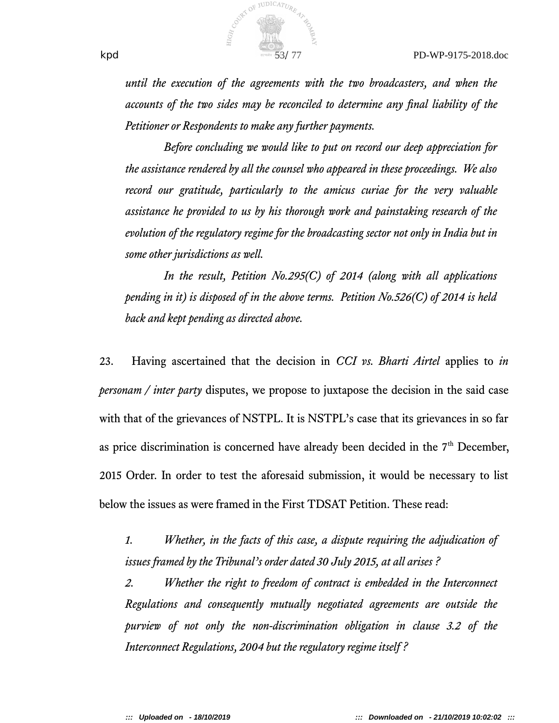

*until the execution of the agreements with the two broadcasters, and when the accounts of the two sides may be reconciled to determine any fnal liability of the Petitioner or Respondents to make any further payments.*

*Before concluding we would like to put on record our deep appreciation for the assistance rendered by all the counsel who appeared in these proceedings. We also record our gratitude, particularly to the amicus curiae for the very valuable assistance he provided to us by his thorough work and painstaking research of the evolution of the regulatory regime for the broadcasting sector not only in India but in some other jurisdictions as well.*

*In the result, Petition No.295(C) of 2014 (along with all applications pending in it) is disposed of in the above terms. Petition No.526(C) of 2014 is held back and kept pending as directed above.*

23. Having ascertained that the decision in *CCI vs. Bharti Airtel* applies to *in personam / inter party* disputes, we propose to juxtapose the decision in the said case with that of the grievances of NSTPL. It is NSTPL's case that its grievances in so far as price discrimination is concerned have already been decided in the  $7<sup>th</sup>$  December, 2015 Order. In order to test the aforesaid submission, it would be necessary to list below the issues as were framed in the First TDSAT Petition. These read:

*1. Whether, in the facts of this case, a dispute requiring the adjudication of issues framed by the Tribunal's order dated 30 July 2015, at all arises ?*

*2. Whether the right to freedom of contract is embedded in the Interconnect Regulations and consequently mutually negotiated agreements are outside the purview of not only the non-discrimination obligation in clause 3.2 of the Interconnect Regulations, 2004 but the regulatory regime itself ?*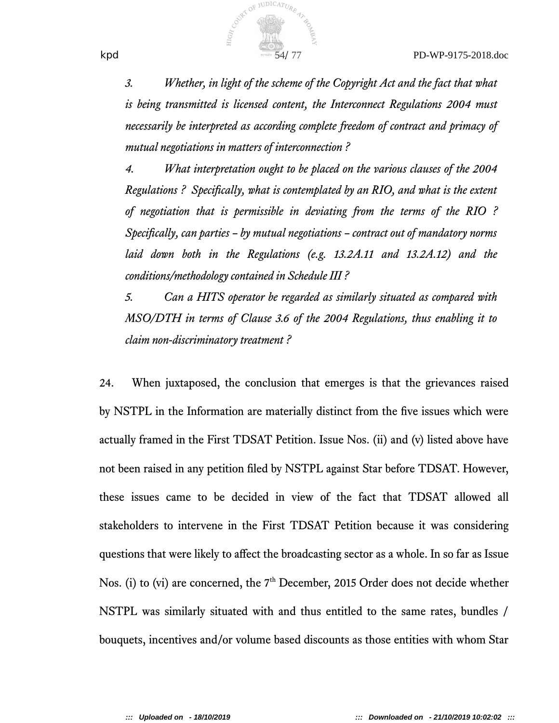

*3. Whether, in light of the scheme of the Copyright Act and the fact that what is being transmitted is licensed content, the Interconnect Regulations 2004 must necessarily be interpreted as according complete freedom of contract and primacy of mutual negotiations in matters of interconnection ?*

*4. What interpretation ought to be placed on the various clauses of the 2004 Regulations ? Specifcally, what is contemplated by an RIO, and what is the extent of negotiation that is permissible in deviating from the terms of the RIO ? Specifcally, can parties – by mutual negotiations – contract out of mandatory norms laid down both in the Regulations (e.g. 13.2A.11 and 13.2A.12) and the conditions/methodology contained in Schedule III?* 

*5. Can a HITS operator be regarded as similarly situated as compared with MSO/DTH in terms of Clause 3.6 of the 2004 Regulations, thus enabling it to claim non-discriminatory treatment ?*

24. When juxtaposed, the conclusion that emerges is that the grievances raised by NSTPL in the Information are materially distinct from the fve issues which were actually framed in the First TDSAT Petition. Issue Nos. (ii) and (v) listed above have not been raised in any petition fled by NSTPL against Star before TDSAT. However, these issues came to be decided in view of the fact that TDSAT allowed all stakeholders to intervene in the First TDSAT Petition because it was considering questions that were likely to affect the broadcasting sector as a whole. In so far as Issue Nos. (i) to (vi) are concerned, the  $7<sup>th</sup>$  December, 2015 Order does not decide whether NSTPL was similarly situated with and thus entitled to the same rates, bundles / bouquets, incentives and/or volume based discounts as those entities with whom Star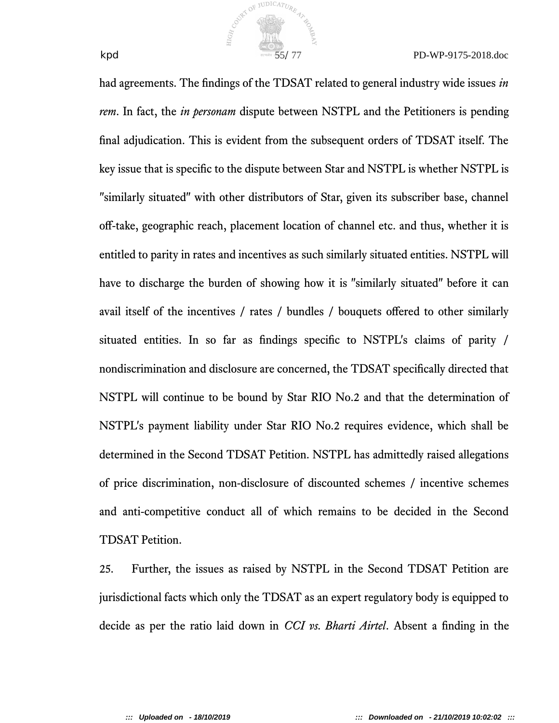

had agreements. The fndings of the TDSAT related to general industry wide issues *in rem*. In fact, the *in personam* dispute between NSTPL and the Petitioners is pending fnal adjudication. This is evident from the subsequent orders of TDSAT itself. The key issue that is specifc to the dispute between Star and NSTPL is whether NSTPL is "similarly situated" with other distributors of Star, given its subscriber base, channel off-take, geographic reach, placement location of channel etc. and thus, whether it is entitled to parity in rates and incentives as such similarly situated entities. NSTPL will have to discharge the burden of showing how it is "similarly situated" before it can avail itself of the incentives / rates / bundles / bouquets offered to other similarly situated entities. In so far as fndings specifc to NSTPL's claims of parity / nondiscrimination and disclosure are concerned, the TDSAT specifcally directed that NSTPL will continue to be bound by Star RIO No.2 and that the determination of NSTPL's payment liability under Star RIO No.2 requires evidence, which shall be determined in the Second TDSAT Petition. NSTPL has admittedly raised allegations of price discrimination, non-disclosure of discounted schemes / incentive schemes and anti-competitive conduct all of which remains to be decided in the Second TDSAT Petition.

COUNTY OF JUDICATURE

25. Further, the issues as raised by NSTPL in the Second TDSAT Petition are jurisdictional facts which only the TDSAT as an expert regulatory body is equipped to decide as per the ratio laid down in *CCI vs. Bharti Airtel*. Absent a fnding in the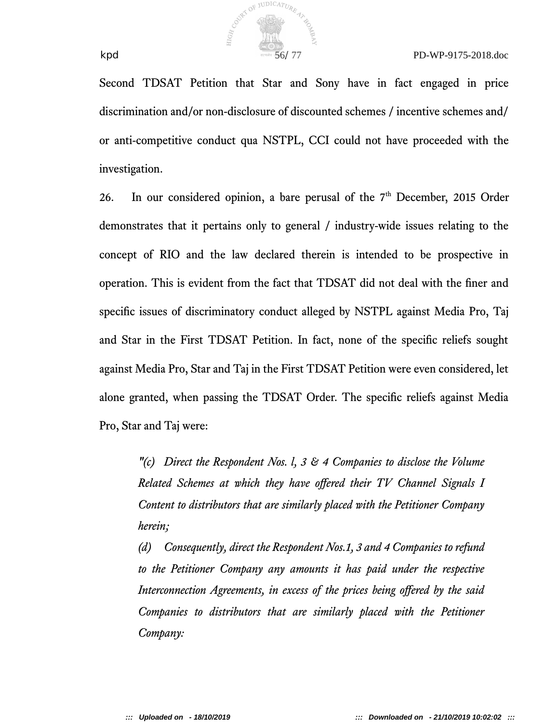

Second TDSAT Petition that Star and Sony have in fact engaged in price discrimination and/or non-disclosure of discounted schemes / incentive schemes and/ or anti-competitive conduct qua NSTPL, CCI could not have proceeded with the investigation.

26. In our considered opinion, a bare perusal of the  $7<sup>th</sup>$  December, 2015 Order demonstrates that it pertains only to general / industry-wide issues relating to the concept of RIO and the law declared therein is intended to be prospective in operation. This is evident from the fact that TDSAT did not deal with the fner and specifc issues of discriminatory conduct alleged by NSTPL against Media Pro, Taj and Star in the First TDSAT Petition. In fact, none of the specifc reliefs sought against Media Pro, Star and Taj in the First TDSAT Petition were even considered, let alone granted, when passing the TDSAT Order. The specifc reliefs against Media Pro, Star and Taj were:

*"(c) Direct the Respondent Nos. l, 3 & 4 Companies to disclose the Volume Related Schemes at which they have ofered their TV Channel Signals I Content to distributors that are similarly placed with the Petitioner Company herein*;

*(d) Consequently, direct the Respondent Nos.1, 3 and 4 Companies to refund to the Petitioner Company any amounts it has paid under the respective Interconnection Agreements, in excess of the prices being ofered by the said Companies to distributors that are similarly placed with the Petitioner Company:*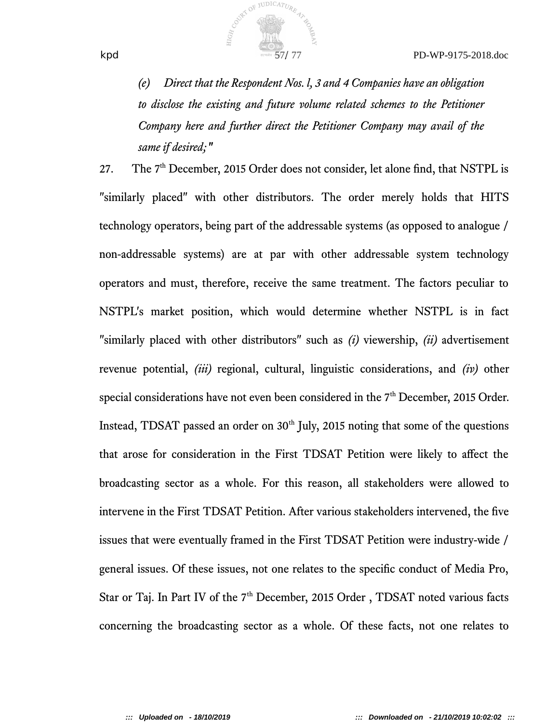

*(e) Direct that the Respondent Nos. l, 3 and 4 Companies have an obligation to disclose the existing and future volume related schemes to the Petitioner Company here and further direct the Petitioner Company may avail of the* same if desired;"

COUNTY OF JUDICATURE 47

27. The 7<sup>th</sup> December, 2015 Order does not consider, let alone find, that NSTPL is "similarly placed" with other distributors. The order merely holds that HITS technology operators, being part of the addressable systems (as opposed to analogue / non-addressable systems) are at par with other addressable system technology operators and must, therefore, receive the same treatment. The factors peculiar to NSTPL's market position, which would determine whether NSTPL is in fact "similarly placed with other distributors" such as *(i)* viewership, *(ii)* advertisement revenue potential, *(iii)* regional, cultural, linguistic considerations, and *(iv)* other special considerations have not even been considered in the 7<sup>th</sup> December, 2015 Order. Instead, TDSAT passed an order on  $30<sup>th</sup>$  July, 2015 noting that some of the questions that arose for consideration in the First TDSAT Petition were likely to afect the broadcasting sector as a whole. For this reason, all stakeholders were allowed to intervene in the First TDSAT Petition. After various stakeholders intervened, the fve issues that were eventually framed in the First TDSAT Petition were industry-wide / general issues. Of these issues, not one relates to the specifc conduct of Media Pro, Star or Taj. In Part IV of the  $7<sup>th</sup>$  December, 2015 Order, TDSAT noted various facts concerning the broadcasting sector as a whole. Of these facts, not one relates to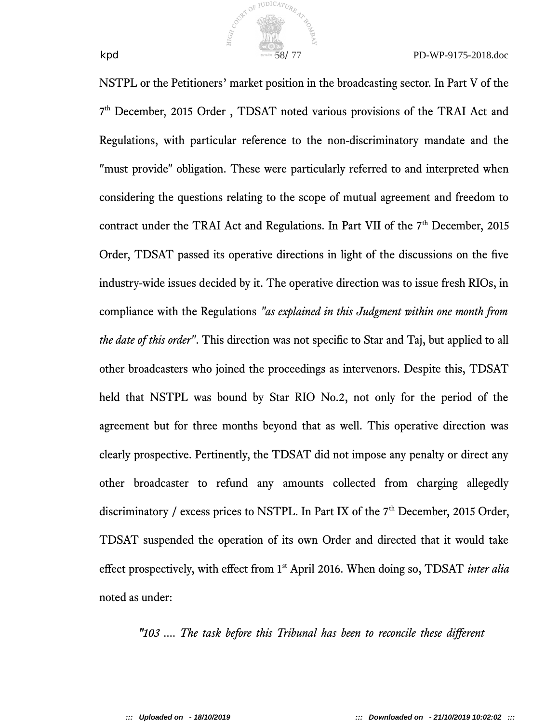

NSTPL or the Petitioners' market position in the broadcasting sector. In Part V of the 7<sup>th</sup> December, 2015 Order, TDSAT noted various provisions of the TRAI Act and Regulations, with particular reference to the non-discriminatory mandate and the "must provide" obligation. These were particularly referred to and interpreted when considering the questions relating to the scope of mutual agreement and freedom to contract under the TRAI Act and Regulations. In Part VII of the  $7<sup>th</sup>$  December, 2015 Order, TDSAT passed its operative directions in light of the discussions on the fve industry-wide issues decided by it. The operative direction was to issue fresh RIOs, in compliance with the Regulations *"as explained in this Judgment within one month from the date of this order"*. This direction was not specifc to Star and Taj, but applied to all other broadcasters who joined the proceedings as intervenors. Despite this, TDSAT held that NSTPL was bound by Star RIO No.2, not only for the period of the agreement but for three months beyond that as well. This operative direction was clearly prospective. Pertinently, the TDSAT did not impose any penalty or direct any other broadcaster to refund any amounts collected from charging allegedly discriminatory / excess prices to NSTPL. In Part IX of the  $7<sup>th</sup>$  December, 2015 Order, TDSAT suspended the operation of its own Order and directed that it would take efect prospectively, with efect from 1st April 2016. When doing so, TDSAT *inter alia* noted as under:

COUNTY OF JUDICATURE

*"103 .... The task before this Tribunal has been to reconcile these diferent*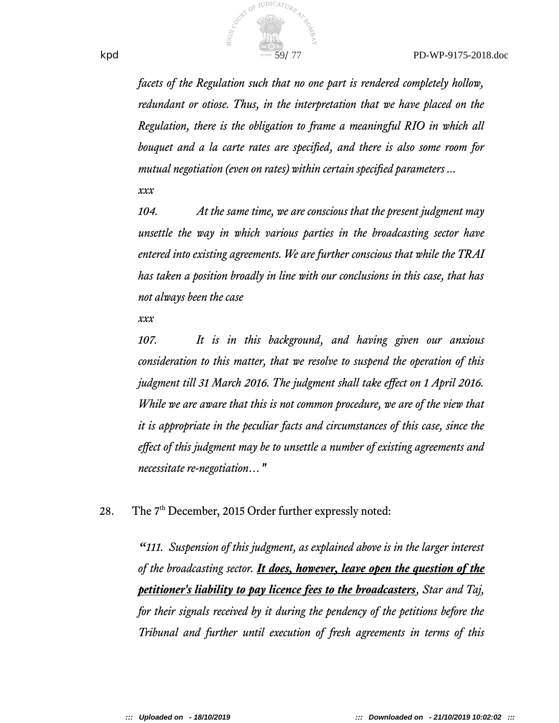

*facets of the Regulation such that no one part is rendered completely hollow, redundant or otiose. Thus, in the interpretation that we have placed on the Regulation, there is the obligation to frame a meaningful RIO in which all bouquet and a la carte rates are specifed, and there is also some room for mutual negotiation (even on rates) within certain specifed parameters ...*

*xxx*

*104. At the same time, we are conscious that the present judgment may unsettle the way in which various parties in the broadcasting sector have entered into existing agreements. We are further conscious that while the TRAI has taken a position broadly in line with our conclusions in this case, that has not always been the case* 

*xxx* 

*107. It is in this background, and having given our anxious consideration to this matter, that we resolve to suspend the operation of this judgment till 31 March 2016. The judgment shall take efect on 1 April 2016. While we are aware that this is not common procedure, we are of the view that it is appropriate in the peculiar facts and circumstances of this case, since the efect of this judgment may be to unsettle a number of existing agreements and necessitate re-negotiation…"*

28. The 7<sup>th</sup> December, 2015 Order further expressly noted:

*"111. Suspension of this judgment, as explained above is in the larger interest of the broadcasting sector. It does, however, leave open the question of the petitioner's liability to pay licence fees to the broadcasters, Star and Taj, for their signals received by it during the pendency of the petitions before the Tribunal and further until execution of fresh agreements in terms of this*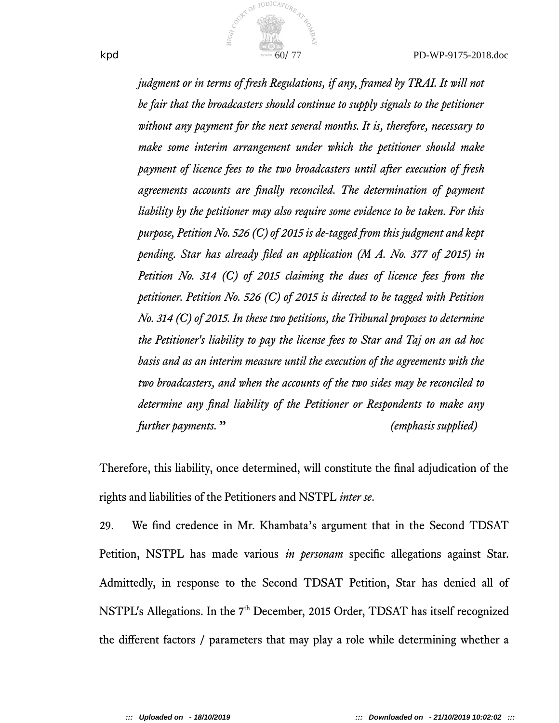

*judgment or in terms of fresh Regulations, if any, framed by TRAI. It will not be fair that the broadcasters should continue to supply signals to the petitioner without any payment for the next several months. It is, therefore, necessary to make some interim arrangement under which the petitioner should make payment of licence fees to the two broadcasters until after execution of fresh agreements accounts are fnally reconciled. The determination of payment liability by the petitioner may also require some evidence to be taken. For this purpose, Petition No. 526 (C) of 2015 is de-taged from this judgment and kept pending. Star has already fled an application (M A. No. 377 of 2015) in Petition No. 314 (C) of 2015 claiming the dues of licence fees from the petitioner. Petition No. 526 (C) of 2015 is directed to be taged with Petition No. 314 (C) of 2015. In these two petitions, the Tribunal proposes to determine the Petitioner's liability to pay the license fees to Star and Taj on an ad hoc basis and as an interim measure until the execution of the agreements with the two broadcasters, and when the accounts of the two sides may be reconciled to determine any fnal liability of the Petitioner or Respondents to make any further payments." (emphasis supplied)*

Therefore, this liability, once determined, will constitute the fnal adjudication of the rights and liabilities of the Petitioners and NSTPL *inter se*.

29. We fnd credence in Mr. Khambata's argument that in the Second TDSAT Petition, NSTPL has made various *in personam* specifc allegations against Star. Admittedly, in response to the Second TDSAT Petition, Star has denied all of NSTPL's Allegations. In the 7<sup>th</sup> December, 2015 Order, TDSAT has itself recognized the diferent factors / parameters that may play a role while determining whether a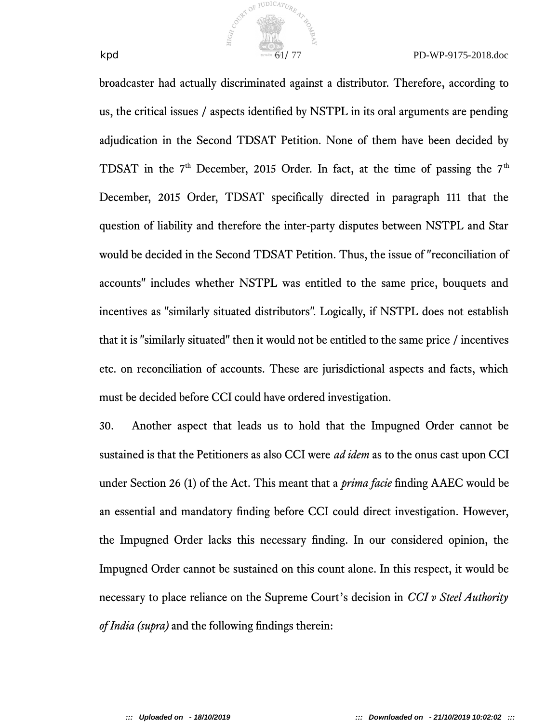

broadcaster had actually discriminated against a distributor. Therefore, according to us, the critical issues / aspects identifed by NSTPL in its oral arguments are pending adjudication in the Second TDSAT Petition. None of them have been decided by TDSAT in the  $7<sup>th</sup>$  December, 2015 Order. In fact, at the time of passing the  $7<sup>th</sup>$ December, 2015 Order, TDSAT specifcally directed in paragraph 111 that the question of liability and therefore the inter-party disputes between NSTPL and Star would be decided in the Second TDSAT Petition. Thus, the issue of "reconciliation of accounts" includes whether NSTPL was entitled to the same price, bouquets and incentives as "similarly situated distributors". Logically, if NSTPL does not establish that it is "similarly situated" then it would not be entitled to the same price / incentives etc. on reconciliation of accounts. These are jurisdictional aspects and facts, which must be decided before CCI could have ordered investigation.

COUNTY OF JUDICATURE

30. Another aspect that leads us to hold that the Impugned Order cannot be sustained is that the Petitioners as also CCI were *ad idem* as to the onus cast upon CCI under Section 26 (1) of the Act. This meant that a *prima facie* fnding AAEC would be an essential and mandatory fnding before CCI could direct investigation. However, the Impugned Order lacks this necessary fnding. In our considered opinion, the Impugned Order cannot be sustained on this count alone. In this respect, it would be necessary to place reliance on the Supreme Court's decision in *CCI v Steel Authority of India (supra)* and the following fndings therein:

**::: Uploaded on - 18/10/2019 ::: Downloaded on - 21/10/2019 10:02:02 :::**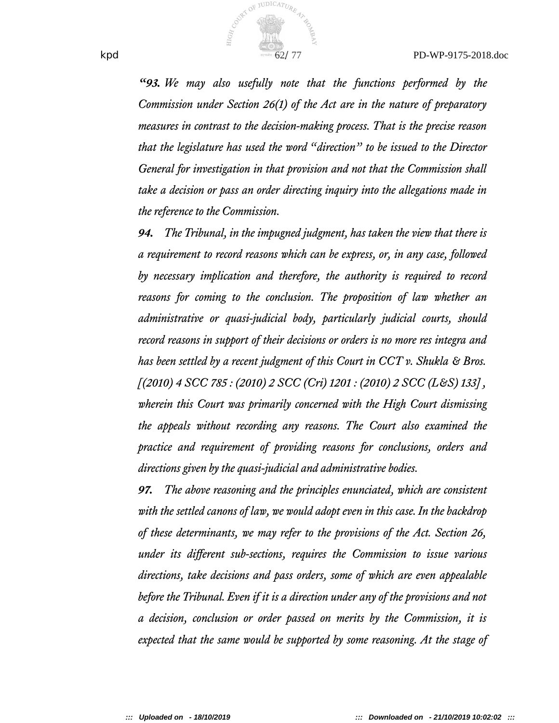

*"93. We may also usefully note that the functions performed by the Commission under Section 26(1) of the Act are in the nature of preparatory measures in contrast to the decision-making process. That is the precise reason that the legislature has used the word "direction" to be issued to the Director General for investigation in that provision and not that the Commission shall take a decision or pass an order directing inquiry into the allegations made in the reference to the Commission.*

*94. The Tribunal, in the impugned judgment, has taken the view that there is a requirement to record reasons which can be express, or, in any case, followed by necessary implication and therefore, the authority is required to record reasons for coming to the conclusion. The proposition of law whether an administrative or quasi-judicial body, particularly judicial courts, should record reasons in support of their decisions or orders is no more res integra and has been settled by a recent judgment of this Court in CCT v. Shukla & Bros. [(2010) 4 SCC 785 : (2010) 2 SCC (Cri) 1201 : (2010) 2 SCC (L&S) 133] , wherein this Court was primarily concerned with the High Court dismissing the appeals without recording any reasons. The Court also examined the practice and requirement of providing reasons for conclusions, orders and directions given by the quasi-judicial and administrative bodies.*

*97. The above reasoning and the principles enunciated, which are consistent with the settled canons of law, we would adopt even in this case. In the backdrop of these determinants, we may refer to the provisions of the Act. Section 26, under its diferent sub-sections, requires the Commission to issue various directions, take decisions and pass orders, some of which are even appealable before the Tribunal. Even if it is a direction under any of the provisions and not a decision, conclusion or order passed on merits by the Commission, it is expected that the same would be supported by some reasoning. At the stage of*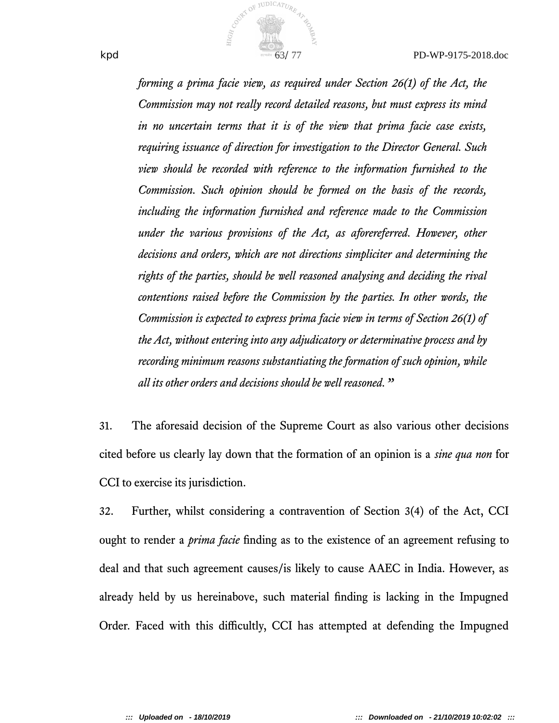

*forming a prima facie view, as required under Section 26(1) of the Act, the Commission may not really record detailed reasons, but must express its mind in no uncertain terms that it is of the view that prima facie case exists, requiring issuance of direction for investigation to the Director General. Such view should be recorded with reference to the information furnished to the Commission. Such opinion should be formed on the basis of the records, including the information furnished and reference made to the Commission under the various provisions of the Act, as aforereferred. However, other decisions and orders, which are not directions simpliciter and determining the rights of the parties, should be well reasoned analysing and deciding the rival contentions raised before the Commission by the parties. In other words, the Commission is expected to express prima facie view in terms of Section 26(1) of the Act, without entering into any adjudicatory or determinative process and by recording minimum reasons substantiating the formation of such opinion, while all its other orders and decisions should be well reasoned."*

31. The aforesaid decision of the Supreme Court as also various other decisions cited before us clearly lay down that the formation of an opinion is a *sine qua non* for CCI to exercise its jurisdiction.

32. Further, whilst considering a contravention of Section 3(4) of the Act, CCI ought to render a *prima facie* fnding as to the existence of an agreement refusing to deal and that such agreement causes/is likely to cause AAEC in India. However, as already held by us hereinabove, such material fnding is lacking in the Impugned Order. Faced with this difficultly, CCI has attempted at defending the Impugned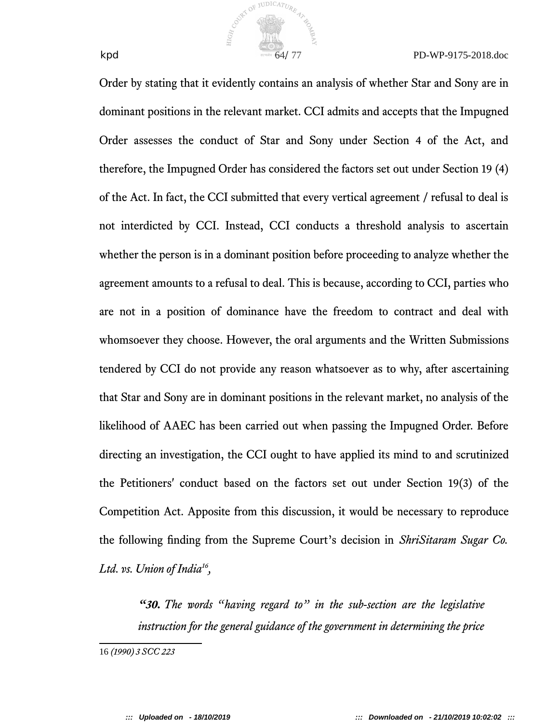

Order by stating that it evidently contains an analysis of whether Star and Sony are in dominant positions in the relevant market. CCI admits and accepts that the Impugned Order assesses the conduct of Star and Sony under Section 4 of the Act, and therefore, the Impugned Order has considered the factors set out under Section 19 (4) of the Act. In fact, the CCI submitted that every vertical agreement / refusal to deal is not interdicted by CCI. Instead, CCI conducts a threshold analysis to ascertain whether the person is in a dominant position before proceeding to analyze whether the agreement amounts to a refusal to deal. This is because, according to CCI, parties who are not in a position of dominance have the freedom to contract and deal with whomsoever they choose. However, the oral arguments and the Written Submissions tendered by CCI do not provide any reason whatsoever as to why, after ascertaining that Star and Sony are in dominant positions in the relevant market, no analysis of the likelihood of AAEC has been carried out when passing the Impugned Order. Before directing an investigation, the CCI ought to have applied its mind to and scrutinized the Petitioners' conduct based on the factors set out under Section 19(3) of the Competition Act. Apposite from this discussion, it would be necessary to reproduce the following fnding from the Supreme Court's decision in *ShriSitaram Sugar Co. Ltd. vs. Union of India<sup>16</sup> ,* 

Cover of JUDICATURE 47

*"30. The words "having regard to" in the sub-section are the legislative instruction for the general guidance of the government in determining the price*

<sup>16</sup> *(1990) 3 SCC 223*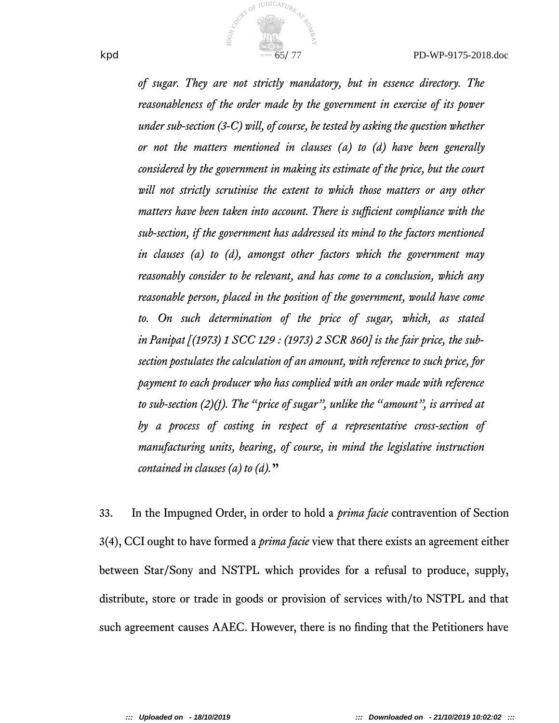

*of sugar. They are not strictly mandatory, but in essence directory. The reasonableness of the order made by the government in exercise of its power under sub-section (3-C) will, of course, be tested by asking the question whether or not the matters mentioned in clauses (a) to (d) have been generally considered by the government in making its estimate of the price, but the court will not strictly scrutinise the extent to which those matters or any other matters have been taken into account. There is sufficient compliance with the sub-section, if the government has addressed its mind to the factors mentioned in clauses (a) to (d), amongst other factors which the government may reasonably consider to be relevant, and has come to a conclusion, which any reasonable person, placed in the position of the government, would have come to. On such determination of the price of sugar, which, as stated in Panipat [(1973) 1 SCC 129 : (1973) 2 SCR 860] is the fair price, the subsection postulates the calculation of an amount, with reference to such price, for payment to each producer who has complied with an order made with reference to sub-section (2)(f). The "price of sugar", unlike the "amount", is arrived at by a process of costing in respect of a representative cross-section of manufacturing units, bearing, of course, in mind the legislative instruction contained in clauses (a) to (d).***"**

33. In the Impugned Order, in order to hold a *prima facie* contravention of Section 3(4), CCI ought to have formed a *prima facie* view that there exists an agreement either between Star/Sony and NSTPL which provides for a refusal to produce, supply, distribute, store or trade in goods or provision of services with/to NSTPL and that such agreement causes AAEC. However, there is no fnding that the Petitioners have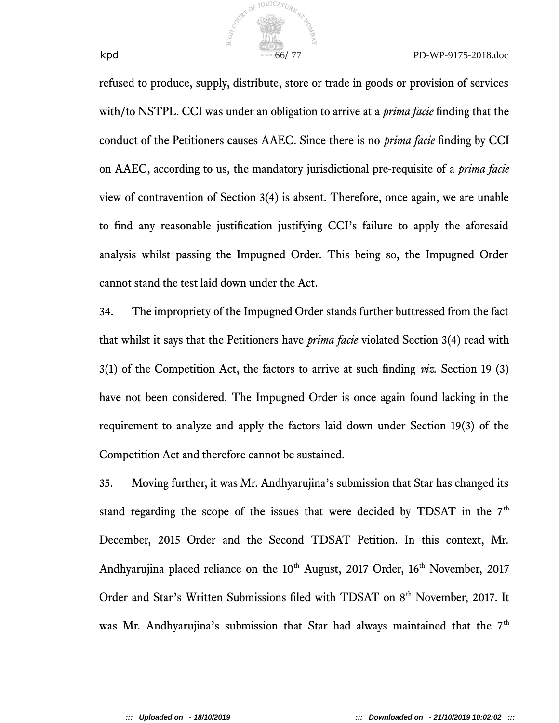

refused to produce, supply, distribute, store or trade in goods or provision of services with/to NSTPL. CCI was under an obligation to arrive at a *prima facie* fnding that the conduct of the Petitioners causes AAEC. Since there is no *prima facie* fnding by CCI on AAEC, according to us, the mandatory jurisdictional pre-requisite of a *prima facie* view of contravention of Section 3(4) is absent. Therefore, once again, we are unable to fnd any reasonable justifcation justifying CCI's failure to apply the aforesaid analysis whilst passing the Impugned Order. This being so, the Impugned Order cannot stand the test laid down under the Act.

34. The impropriety of the Impugned Order stands further buttressed from the fact that whilst it says that the Petitioners have *prima facie* violated Section 3(4) read with 3(1) of the Competition Act, the factors to arrive at such fnding *viz.* Section 19 (3) have not been considered. The Impugned Order is once again found lacking in the requirement to analyze and apply the factors laid down under Section 19(3) of the Competition Act and therefore cannot be sustained.

35. Moving further, it was Mr. Andhyarujina's submission that Star has changed its stand regarding the scope of the issues that were decided by TDSAT in the  $7<sup>th</sup>$ December, 2015 Order and the Second TDSAT Petition. In this context, Mr. Andhyarujina placed reliance on the  $10<sup>th</sup>$  August, 2017 Order,  $16<sup>th</sup>$  November, 2017 Order and Star's Written Submissions filed with TDSAT on 8<sup>th</sup> November, 2017. It was Mr. Andhyarujina's submission that Star had always maintained that the  $7<sup>th</sup>$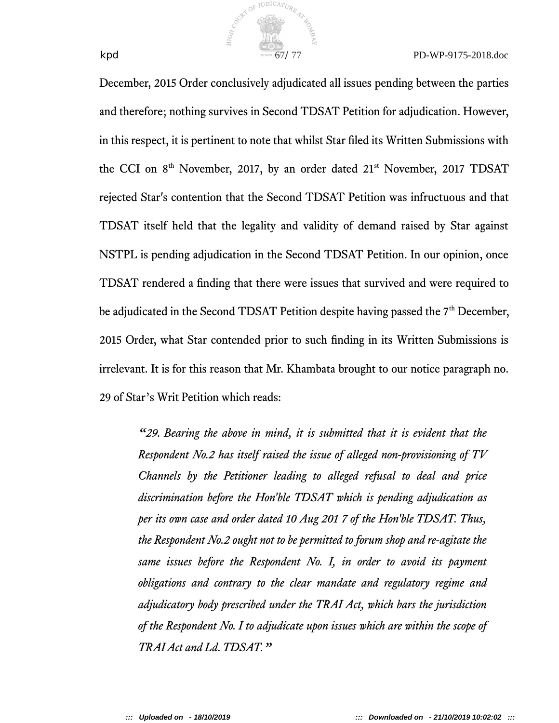

December, 2015 Order conclusively adjudicated all issues pending between the parties and therefore; nothing survives in Second TDSAT Petition for adjudication. However, in this respect, it is pertinent to note that whilst Star fled its Written Submissions with the CCI on 8<sup>th</sup> November, 2017, by an order dated 21<sup>st</sup> November, 2017 TDSAT rejected Star's contention that the Second TDSAT Petition was infructuous and that TDSAT itself held that the legality and validity of demand raised by Star against NSTPL is pending adjudication in the Second TDSAT Petition. In our opinion, once TDSAT rendered a fnding that there were issues that survived and were required to be adjudicated in the Second TDSAT Petition despite having passed the 7<sup>th</sup> December, 2015 Order, what Star contended prior to such fnding in its Written Submissions is irrelevant. It is for this reason that Mr. Khambata brought to our notice paragraph no. 29 of Star's Writ Petition which reads:

COUNTY OF JUDICATURE

*"29. Bearing the above in mind, it is submitted that it is evident that the Respondent No.2 has itself raised the issue of alleged non-provisioning of TV Channels by the Petitioner leading to alleged refusal to deal and price discrimination before the Hon'ble TDSAT which is pending adjudication as per its own case and order dated 10 Aug 201 7 of the Hon'ble TDSAT. Thus, the Respondent No.2 ought not to be permitted to forum shop and re-agitate the same issues before the Respondent No. I, in order to avoid its payment obligations and contrary to the clear mandate and regulatory regime and adjudicatory body prescribed under the TRAI Act, which bars the jurisdiction of the Respondent No. I to adjudicate upon issues which are within the scope of TRAI Act and Ld. TDSAT."*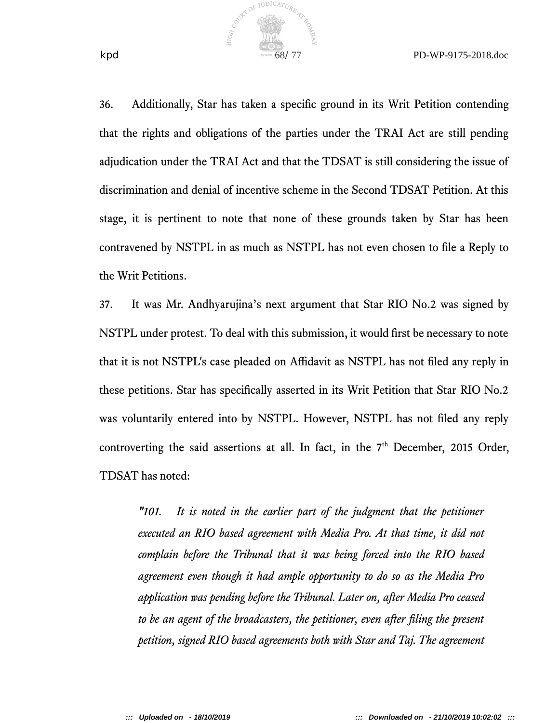

36. Additionally, Star has taken a specifc ground in its Writ Petition contending that the rights and obligations of the parties under the TRAI Act are still pending adjudication under the TRAI Act and that the TDSAT is still considering the issue of discrimination and denial of incentive scheme in the Second TDSAT Petition. At this stage, it is pertinent to note that none of these grounds taken by Star has been contravened by NSTPL in as much as NSTPL has not even chosen to fle a Reply to the Writ Petitions.

COUNTY OF JUDICATURE 47

37. It was Mr. Andhyarujina's next argument that Star RIO No.2 was signed by NSTPL under protest. To deal with this submission, it would frst be necessary to note that it is not NSTPL's case pleaded on Afdavit as NSTPL has not fled any reply in these petitions. Star has specifcally asserted in its Writ Petition that Star RIO No.2 was voluntarily entered into by NSTPL. However, NSTPL has not fled any reply controverting the said assertions at all. In fact, in the  $7<sup>th</sup>$  December, 2015 Order, TDSAT has noted:

*"101. It is noted in the earlier part of the judgment that the petitioner executed an RIO based agreement with Media Pro. At that time, it did not complain before the Tribunal that it was being forced into the RIO based agreement even though it had ample opportunity to do so as the Media Pro application was pending before the Tribunal. Later on, after Media Pro ceased to be an agent of the broadcasters, the petitioner, even after fling the present petition, signed RIO based agreements both with Star and Taj. The agreement*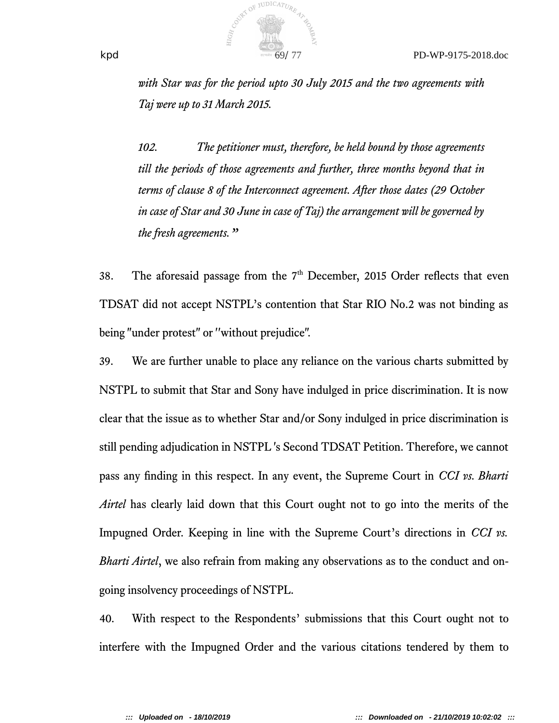

*with Star was for the period upto 30 July 2015 and the two agreements with Taj were up to 31 March 2015.*

*102. The petitioner must, therefore, be held bound by those agreements till the periods of those agreements and further, three months beyond that in terms of clause 8 of the Interconnect agreement. After those dates (29 October in case of Star and 30 June in case of Taj) the arrangement will be governed by the fresh agreements."*

38. The aforesaid passage from the  $7<sup>th</sup>$  December, 2015 Order reflects that even TDSAT did not accept NSTPL's contention that Star RIO No.2 was not binding as being "under protest" or ''without prejudice".

39. We are further unable to place any reliance on the various charts submitted by NSTPL to submit that Star and Sony have indulged in price discrimination. It is now clear that the issue as to whether Star and/or Sony indulged in price discrimination is still pending adjudication in NSTPL 's Second TDSAT Petition. Therefore, we cannot pass any fnding in this respect. In any event, the Supreme Court in *CCI vs. Bharti Airtel* has clearly laid down that this Court ought not to go into the merits of the Impugned Order. Keeping in line with the Supreme Court's directions in *CCI vs. Bharti Airtel*, we also refrain from making any observations as to the conduct and ongoing insolvency proceedings of NSTPL.

40. With respect to the Respondents' submissions that this Court ought not to interfere with the Impugned Order and the various citations tendered by them to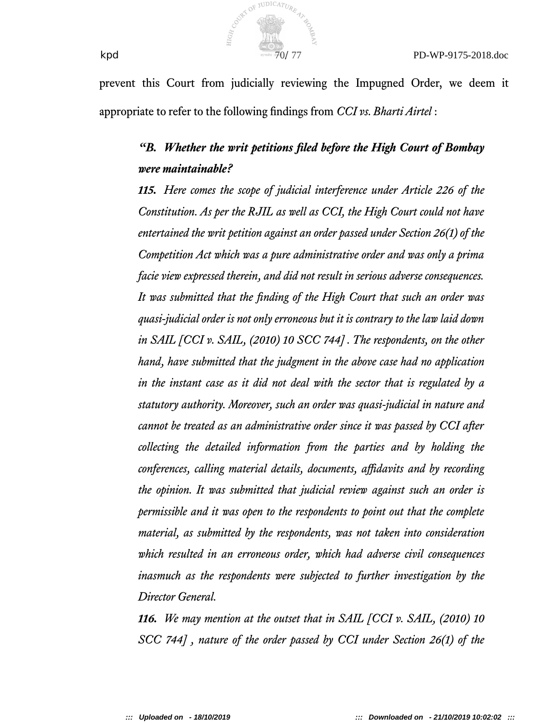

prevent this Court from judicially reviewing the Impugned Order, we deem it appropriate to refer to the following fndings from *CCI vs. Bharti Airtel* :

# *"B. Whether the writ petitions fled before the High Court of Bombay were maintainable?*

*115. Here comes the scope of judicial interference under Article 226 of the Constitution. As per the RJIL as well as CCI, the High Court could not have entertained the writ petition against an order passed under Section 26(1) of the Competition Act which was a pure administrative order and was only a prima facie view expressed therein, and did not result in serious adverse consequences. It was submitted that the fnding of the High Court that such an order was quasi-judicial order is not only erroneous but it is contrary to the law laid down in SAIL [CCI v. SAIL, (2010) 10 SCC 744] . The respondents, on the other hand, have submitted that the judgment in the above case had no application in the instant case as it did not deal with the sector that is regulated by a statutory authority. Moreover, such an order was quasi-judicial in nature and cannot be treated as an administrative order since it was passed by CCI after collecting the detailed information from the parties and by holding the conferences, calling material details, documents, afdavits and by recording the opinion. It was submitted that judicial review against such an order is permissible and it was open to the respondents to point out that the complete material, as submitted by the respondents, was not taken into consideration which resulted in an erroneous order, which had adverse civil consequences inasmuch as the respondents were subjected to further investigation by the Director General.*

*116. We may mention at the outset that in SAIL [CCI v. SAIL, (2010) 10 SCC 744] , nature of the order passed by CCI under Section 26(1) of the*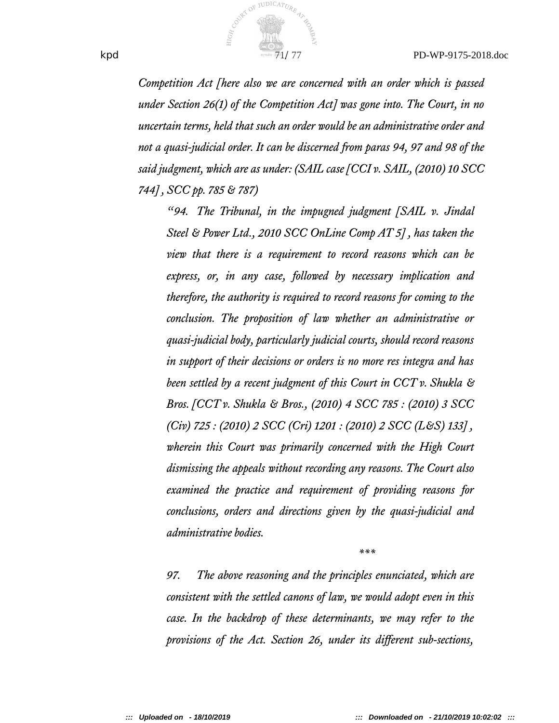

*Competition Act [here also we are concerned with an order which is passed under Section 26(1) of the Competition Act] was gone into. The Court, in no uncertain terms, held that such an order would be an administrative order and not a quasi-judicial order. It can be discerned from paras 94, 97 and 98 of the said judgment, which are as under: (SAIL case [CCI v. SAIL, (2010) 10 SCC 744] , SCC pp. 785 & 787)*

*"94. The Tribunal, in the impugned judgment [SAIL v. Jindal Steel & Power Ltd., 2010 SCC OnLine Comp AT 5] , has taken the view that there is a requirement to record reasons which can be express, or, in any case, followed by necessary implication and therefore, the authority is required to record reasons for coming to the conclusion. The proposition of law whether an administrative or quasi-judicial body, particularly judicial courts, should record reasons in support of their decisions or orders is no more res integra and has been settled by a recent judgment of this Court in CCT v. Shukla & Bros. [CCT v. Shukla & Bros., (2010) 4 SCC 785 : (2010) 3 SCC (Civ) 725 : (2010) 2 SCC (Cri) 1201 : (2010) 2 SCC (L&S) 133] , wherein this Court was primarily concerned with the High Court dismissing the appeals without recording any reasons. The Court also examined the practice and requirement of providing reasons for conclusions, orders and directions given by the quasi-judicial and administrative bodies.*

*\*\*\**

*97. The above reasoning and the principles enunciated, which are consistent with the settled canons of law, we would adopt even in this case. In the backdrop of these determinants, we may refer to the provisions of the Act. Section 26, under its diferent sub-sections,*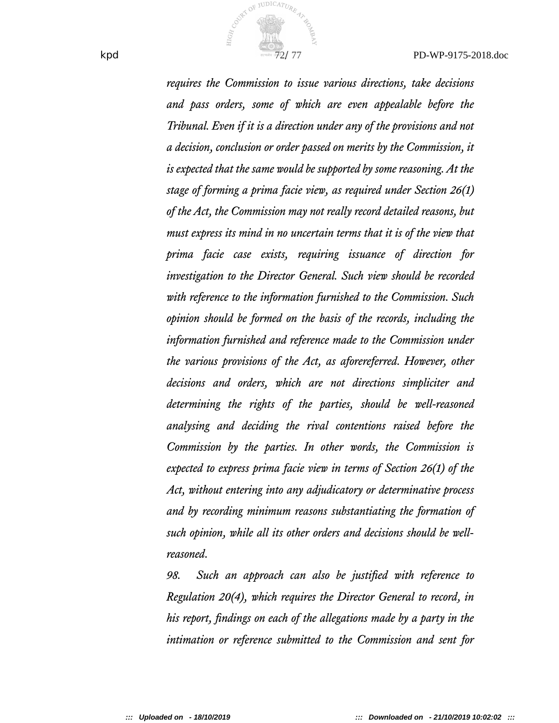

*requires the Commission to issue various directions, take decisions and pass orders, some of which are even appealable before the Tribunal. Even if it is a direction under any of the provisions and not a decision, conclusion or order passed on merits by the Commission, it is expected that the same would be supported by some reasoning. At the stage of forming a prima facie view, as required under Section 26(1) of the Act, the Commission may not really record detailed reasons, but must express its mind in no uncertain terms that it is of the view that prima facie case exists, requiring issuance of direction for investigation to the Director General. Such view should be recorded with reference to the information furnished to the Commission. Such opinion should be formed on the basis of the records, including the information furnished and reference made to the Commission under the various provisions of the Act, as aforereferred. However, other decisions and orders, which are not directions simpliciter and determining the rights of the parties, should be well-reasoned analysing and deciding the rival contentions raised before the Commission by the parties. In other words, the Commission is expected to express prima facie view in terms of Section 26(1) of the Act, without entering into any adjudicatory or determinative process and by recording minimum reasons substantiating the formation of such opinion, while all its other orders and decisions should be wellreasoned.*

*98. Such an approach can also be justifed with reference to Regulation 20(4), which requires the Director General to record, in his report, fndings on each of the allegations made by a party in the intimation or reference submitted to the Commission and sent for*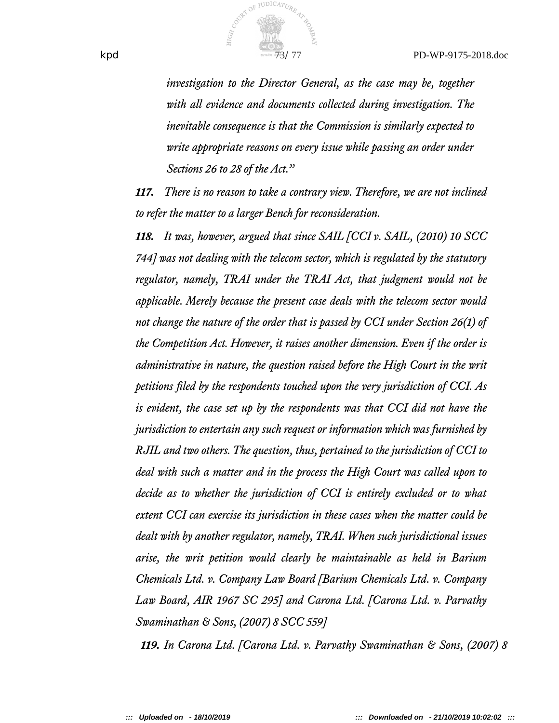

*investigation to the Director General, as the case may be, together with all evidence and documents collected during investigation. The inevitable consequence is that the Commission is similarly expected to write appropriate reasons on every issue while passing an order under Sections 26 to 28 of the Act."*

*117. There is no reason to take a contrary view. Therefore, we are not inclined to refer the matter to a larger Bench for reconsideration.*

*118. It was, however, argued that since SAIL [CCI v. SAIL, (2010) 10 SCC 744] was not dealing with the telecom sector, which is regulated by the statutory regulator, namely, TRAI under the TRAI Act, that judgment would not be applicable. Merely because the present case deals with the telecom sector would not change the nature of the order that is passed by CCI under Section 26(1) of the Competition Act. However, it raises another dimension. Even if the order is administrative in nature, the question raised before the High Court in the writ petitions fled by the respondents touched upon the very jurisdiction of CCI. As is evident, the case set up by the respondents was that CCI did not have the jurisdiction to entertain any such request or information which was furnished by RJIL and two others. The question, thus, pertained to the jurisdiction of CCI to deal with such a matter and in the process the High Court was called upon to decide as to whether the jurisdiction of CCI is entirely excluded or to what extent CCI can exercise its jurisdiction in these cases when the matter could be dealt with by another regulator, namely, TRAI. When such jurisdictional issues arise, the writ petition would clearly be maintainable as held in Barium Chemicals Ltd. v. Company Law Board [Barium Chemicals Ltd. v. Company Law Board, AIR 1967 SC 295] and Carona Ltd. [Carona Ltd. v. Parvathy Swaminathan & Sons, (2007) 8 SCC 559]*

*119. In Carona Ltd. [Carona Ltd. v. Parvathy Swaminathan & Sons, (2007) 8*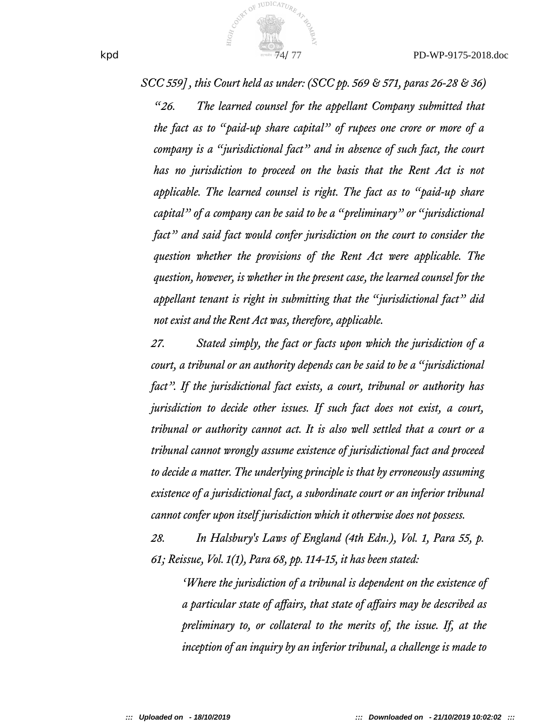

*SCC 559] , this Court held as under: (SCC pp. 569 & 571, paras 26-28 & 36)*

*"26. The learned counsel for the appellant Company submitted that the fact as to "paid-up share capital" of rupees one crore or more of a company is a "jurisdictional fact" and in absence of such fact, the court has no jurisdiction to proceed on the basis that the Rent Act is not applicable. The learned counsel is right. The fact as to "paid-up share capital" of a company can be said to be a "preliminary" or "jurisdictional fact" and said fact would confer jurisdiction on the court to consider the question whether the provisions of the Rent Act were applicable. The question, however, is whether in the present case, the learned counsel for the appellant tenant is right in submitting that the "jurisdictional fact" did not exist and the Rent Act was, therefore, applicable.*

*27. Stated simply, the fact or facts upon which the jurisdiction of a court, a tribunal or an authority depends can be said to be a "jurisdictional fact". If the jurisdictional fact exists, a court, tribunal or authority has jurisdiction to decide other issues. If such fact does not exist, a court, tribunal or authority cannot act. It is also well settled that a court or a tribunal cannot wrongly assume existence of jurisdictional fact and proceed to decide a matter. The underlying principle is that by erroneously assuming existence of a jurisdictional fact, a subordinate court or an inferior tribunal cannot confer upon itself jurisdiction which it otherwise does not possess.*

*28. In Halsbury's Laws of England (4th Edn.), Vol. 1, Para 55, p.* 61; Reissue, *Vol.* 1(1), Para 68, pp. 114-15, it has been stated:

*'Where the jurisdiction of a tribunal is dependent on the existence of a particular state of afairs, that state of afairs may be described as preliminary to, or collateral to the merits of, the issue. If, at the inception of an inquiry by an inferior tribunal, a challenge is made to*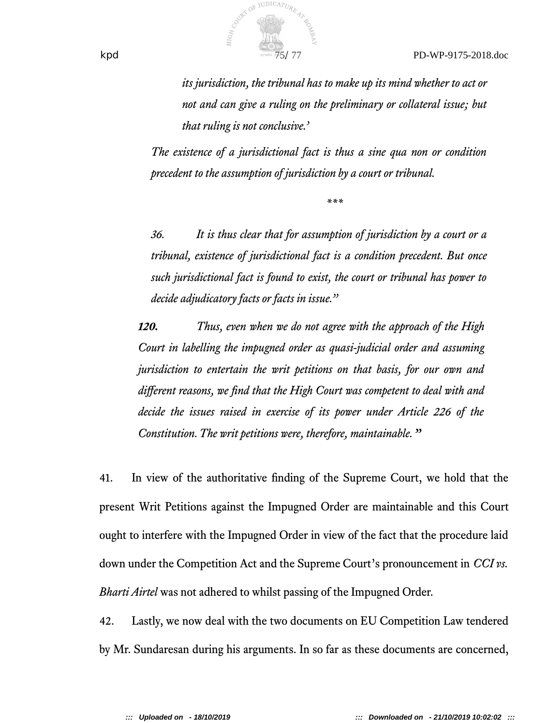

*its jurisdiction, the tribunal has to make up its mind whether to act or* not and can give a ruling on the preliminary or collateral issue; but *that ruling is not conclusive.'*

*The existence of a jurisdictional fact is thus a sine qua non or condition precedent to the assumption of jurisdiction by a court or tribunal.*

*\*\*\**

*36. It is thus clear that for assumption of jurisdiction by a court or a tribunal, existence of jurisdictional fact is a condition precedent. But once such jurisdictional fact is found to exist, the court or tribunal has power to decide adjudicatory facts or facts in issue."*

*120. Thus, even when we do not agree with the approach of the High Court in labelling the impugned order as quasi-judicial order and assuming jurisdiction to entertain the writ petitions on that basis, for our own and diferent reasons, we fnd that the High Court was competent to deal with and decide the issues raised in exercise of its power under Article 226 of the Constitution. The writ petitions were, therefore, maintainable."*

41. In view of the authoritative fnding of the Supreme Court, we hold that the present Writ Petitions against the Impugned Order are maintainable and this Court ought to interfere with the Impugned Order in view of the fact that the procedure laid down under the Competition Act and the Supreme Court's pronouncement in *CCI vs. Bharti Airtel* was not adhered to whilst passing of the Impugned Order.

42. Lastly, we now deal with the two documents on EU Competition Law tendered by Mr. Sundaresan during his arguments. In so far as these documents are concerned,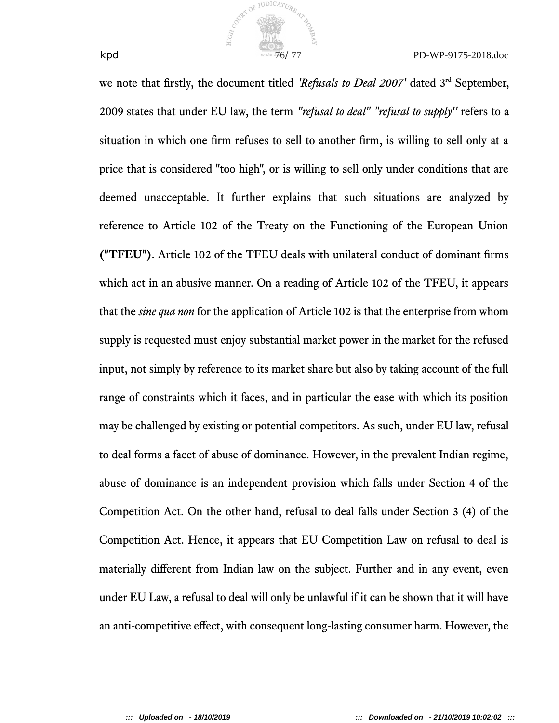

we note that firstly, the document titled *'Refusals to Deal 2007'* dated 3<sup>rd</sup> September, 2009 states that under EU law, the term *"refusal to deal" "refusal to supply''* refers to a situation in which one frm refuses to sell to another frm, is willing to sell only at a price that is considered "too high", or is willing to sell only under conditions that are deemed unacceptable. It further explains that such situations are analyzed by reference to Article 102 of the Treaty on the Functioning of the European Union **("TFEU")**. Article 102 of the TFEU deals with unilateral conduct of dominant frms which act in an abusive manner. On a reading of Article 102 of the TFEU, it appears that the *sine qua non* for the application of Article 102 is that the enterprise from whom supply is requested must enjoy substantial market power in the market for the refused input, not simply by reference to its market share but also by taking account of the full range of constraints which it faces, and in particular the ease with which its position may be challenged by existing or potential competitors. As such, under EU law, refusal to deal forms a facet of abuse of dominance. However, in the prevalent Indian regime, abuse of dominance is an independent provision which falls under Section 4 of the Competition Act. On the other hand, refusal to deal falls under Section 3 (4) of the Competition Act. Hence, it appears that EU Competition Law on refusal to deal is materially diferent from Indian law on the subject. Further and in any event, even under EU Law, a refusal to deal will only be unlawful if it can be shown that it will have an anti-competitive efect, with consequent long-lasting consumer harm. However, the